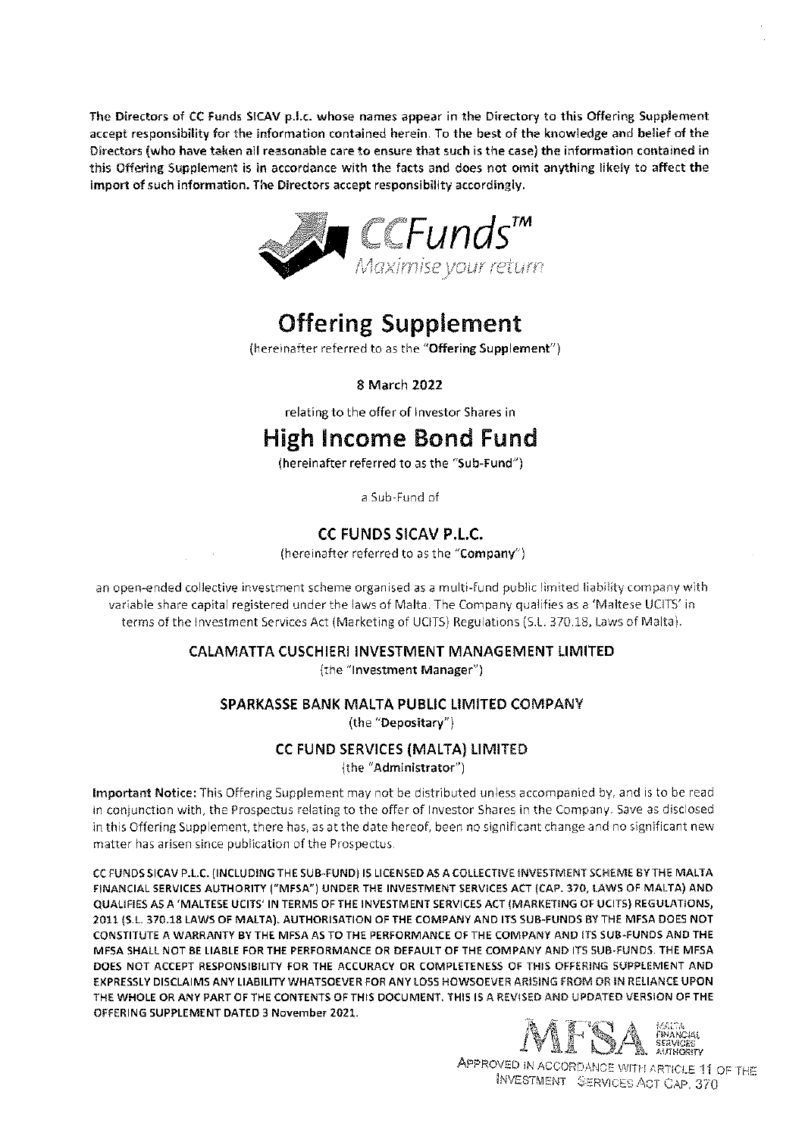The Directors of CC Funds SICAV p.l.c. whose names appear in the Directory to this Offering Supplement accept responsibility for the information contained herein. To the best of the knowledge and belief of the Directors (who have taken all reasonable care to ensure that such is the case) the information contained in this Offering Supplement is in accordance with the facts and does not omit anything likely to affect the import of such information. The Directors accept responsibility accordingly.



# Offering Supplement

(hereinafter referred to as the "Offering Supplement")

8 March 2022

relating to the offer of Investor Shares in

# High Income Bond Fund

(hereinafter referred to as the "Sub-Fund')

a Sub-Fund of

### CC FUNDS SICAV P.L.C.

(hereinafter referred to as the "Company")

an open-ended collective investment scheme organised as a multi-fund public limited liability company with variable share capital registered under the laws of Malta, The Company qualifies as a 'Maltese UCITS' in terms of the Investment Services Act (Marketing of UCITS) Regulations (S.L. 370.18, Laws of Malta).

## CALAMATTA CUSCHIERI INVESTMENT MANAGEMENT LIMITED

(the "Investment Manager")

### SPARKASSE BANK MALTA PUBLIC LIMITED COMPANY

(the "Depositary")

### CC FUND SERVICES (MALTA) LIMITED

(the "Administrator")

Important Notice: This Offering Supplement may not be distributed unless accompanied by, and is to be read in conjunction with, he Prospectus relating to the offer of Investor Shares in the Company. Save as disclosed in this Offering Supplement, there has, as at the date hereof, been no significant change and no significant new matter has arisen since publication of the Prospectus.

CC FUNDSSICAV P.L.C. (INCLUDING THE SUB-FUND) IS LICENSED ASA COLLECTIVE NVESTMENTSCHEME BYTHE MALTA FINANCIAL SERVICES AUTHORITY ("MFSA') UNDER THE INVESTMENT SERVICES ACT (CAP. 370 LAWS OF MALTA) AND QUALIFIES AS A 'MALTESE UCITS' IN TERMS OF THE INVESTMENT SERVICES ACT (MARKETING OF UCITS) REGULATIONS1 2011 (S.L 37018 LAWS OF MALTA). AUTHORISATION OF THE COMPANY AND ITS SUB-FUNDS BY THE MFSA DOES NOT CONSTITUTE A WARRANTY BY THE MFSA AS TO THE PERFORMANCE OF THE COMPANY AND ITS SUB-FUNDS AND THE MFSA SHALL NOT BE LIABLE FOR THE PERFORMANCE OR DEFAULT OF THE COMPANY AND ITS SUB-FUNDS. THE MFSA DOES NOT ACCEPT RESPONSIBILITY FOR THE ACCURACY OR COMPLETENESS OF THIS OFFERING SUPPLEMENT AND EXPRESSLY DISCLAIMS ANY LIABILITY WHATSOEVER FOR ANY LOSS HOWSOEVER ARISING FROM OR IN RELIANCE UPON THE WHOLE OR ANY PART OF THE CONTENTS OF THIS DOCUMENT. THIS IS A REVISED AND UPDATED VERSION OF THE OFFERING 5UPPLEMENT DATED 3 November 2021,



APPROVED IN ACCORDANCE WITH ARTICLE 11 OF THE INVESTMENT SERVICES ACT CAP. 370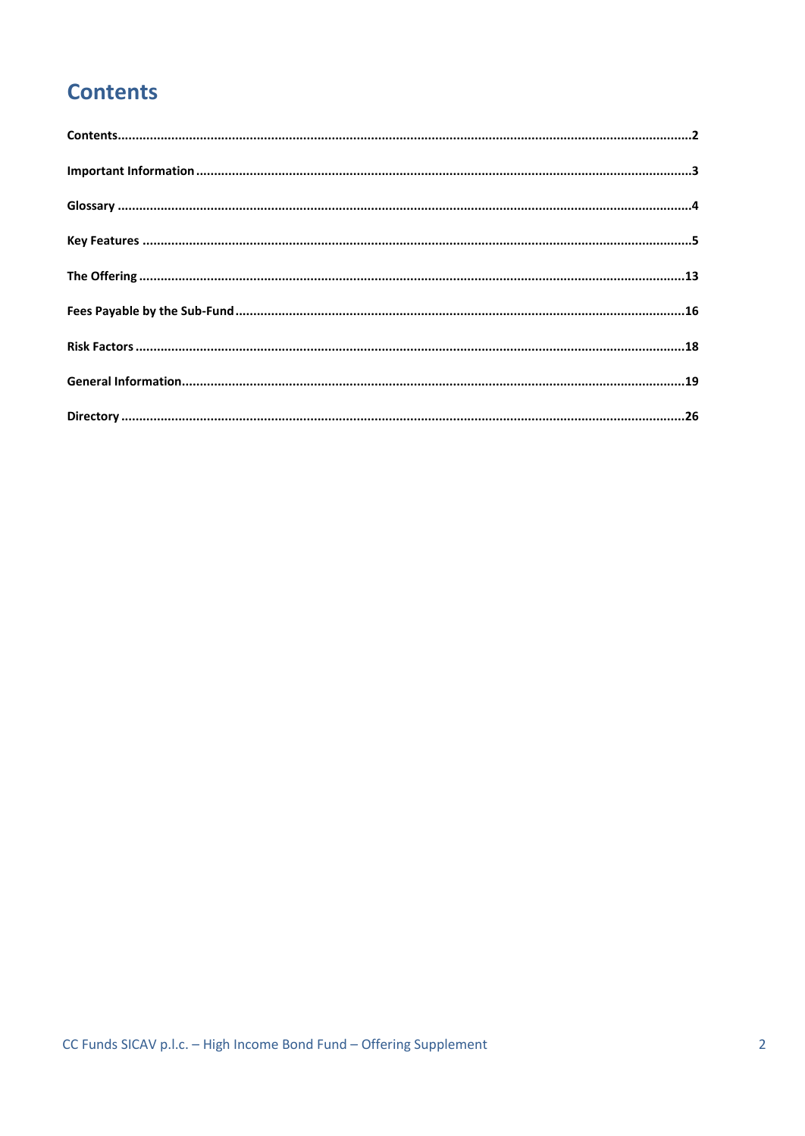# <span id="page-1-0"></span>**Contents**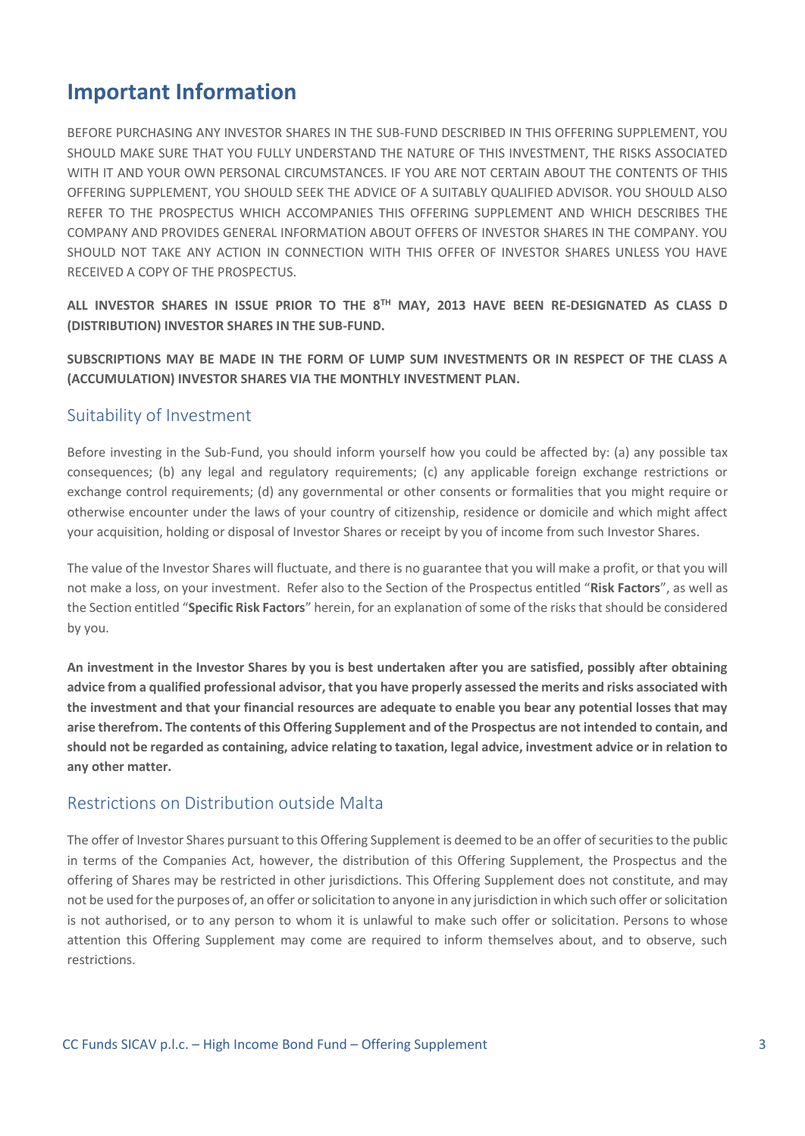## <span id="page-2-0"></span>**Important Information**

BEFORE PURCHASING ANY INVESTOR SHARES IN THE SUB-FUND DESCRIBED IN THIS OFFERING SUPPLEMENT, YOU SHOULD MAKE SURE THAT YOU FULLY UNDERSTAND THE NATURE OF THIS INVESTMENT, THE RISKS ASSOCIATED WITH IT AND YOUR OWN PERSONAL CIRCUMSTANCES. IF YOU ARE NOT CERTAIN ABOUT THE CONTENTS OF THIS OFFERING SUPPLEMENT, YOU SHOULD SEEK THE ADVICE OF A SUITABLY QUALIFIED ADVISOR. YOU SHOULD ALSO REFER TO THE PROSPECTUS WHICH ACCOMPANIES THIS OFFERING SUPPLEMENT AND WHICH DESCRIBES THE COMPANY AND PROVIDES GENERAL INFORMATION ABOUT OFFERS OF INVESTOR SHARES IN THE COMPANY. YOU SHOULD NOT TAKE ANY ACTION IN CONNECTION WITH THIS OFFER OF INVESTOR SHARES UNLESS YOU HAVE RECEIVED A COPY OF THE PROSPECTUS.

**ALL INVESTOR SHARES IN ISSUE PRIOR TO THE 8TH MAY, 2013 HAVE BEEN RE-DESIGNATED AS CLASS D (DISTRIBUTION) INVESTOR SHARES IN THE SUB-FUND.**

**SUBSCRIPTIONS MAY BE MADE IN THE FORM OF LUMP SUM INVESTMENTS OR IN RESPECT OF THE CLASS A (ACCUMULATION) INVESTOR SHARES VIA THE MONTHLY INVESTMENT PLAN.** 

### Suitability of Investment

Before investing in the Sub-Fund, you should inform yourself how you could be affected by: (a) any possible tax consequences; (b) any legal and regulatory requirements; (c) any applicable foreign exchange restrictions or exchange control requirements; (d) any governmental or other consents or formalities that you might require or otherwise encounter under the laws of your country of citizenship, residence or domicile and which might affect your acquisition, holding or disposal of Investor Shares or receipt by you of income from such Investor Shares.

The value of the Investor Shares will fluctuate, and there is no guarantee that you will make a profit, or that you will not make a loss, on your investment. Refer also to the Section of the Prospectus entitled "**Risk Factors**", as well as the Section entitled "**Specific Risk Factors**" herein, for an explanation of some of the risks that should be considered by you.

**An investment in the Investor Shares by you is best undertaken after you are satisfied, possibly after obtaining advice from a qualified professional advisor, that you have properly assessed the merits and risks associated with the investment and that your financial resources are adequate to enable you bear any potential losses that may arise therefrom. The contents of this Offering Supplement and of the Prospectus are not intended to contain, and should not be regarded as containing, advice relating to taxation, legal advice, investment advice or in relation to any other matter.**

### Restrictions on Distribution outside Malta

The offer of Investor Shares pursuant to this Offering Supplement is deemed to be an offer of securities to the public in terms of the Companies Act, however, the distribution of this Offering Supplement, the Prospectus and the offering of Shares may be restricted in other jurisdictions. This Offering Supplement does not constitute, and may not be used for the purposes of, an offer or solicitation to anyone in any jurisdiction in which such offer or solicitation is not authorised, or to any person to whom it is unlawful to make such offer or solicitation. Persons to whose attention this Offering Supplement may come are required to inform themselves about, and to observe, such restrictions.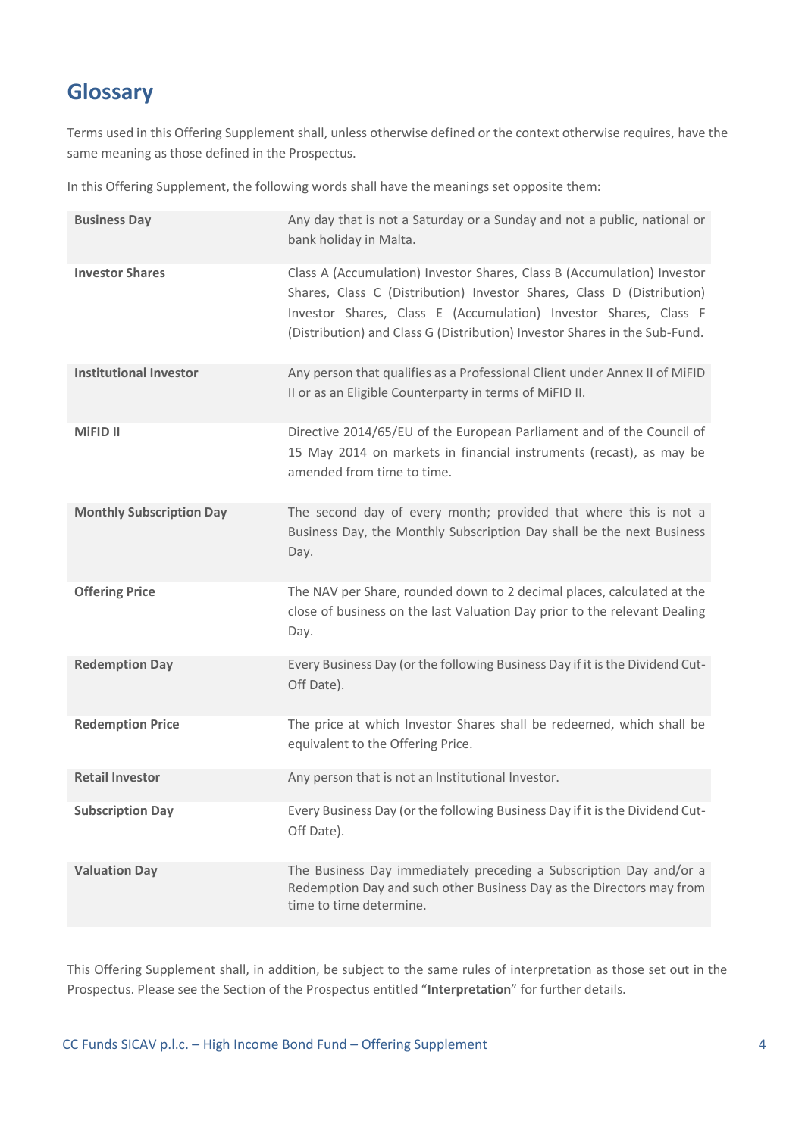## <span id="page-3-0"></span>**Glossary**

Terms used in this Offering Supplement shall, unless otherwise defined or the context otherwise requires, have the same meaning as those defined in the Prospectus.

In this Offering Supplement, the following words shall have the meanings set opposite them:

| <b>Business Day</b>             | Any day that is not a Saturday or a Sunday and not a public, national or<br>bank holiday in Malta.                                                                                                                                                                                                  |
|---------------------------------|-----------------------------------------------------------------------------------------------------------------------------------------------------------------------------------------------------------------------------------------------------------------------------------------------------|
| <b>Investor Shares</b>          | Class A (Accumulation) Investor Shares, Class B (Accumulation) Investor<br>Shares, Class C (Distribution) Investor Shares, Class D (Distribution)<br>Investor Shares, Class E (Accumulation) Investor Shares, Class F<br>(Distribution) and Class G (Distribution) Investor Shares in the Sub-Fund. |
| <b>Institutional Investor</b>   | Any person that qualifies as a Professional Client under Annex II of MiFID<br>II or as an Eligible Counterparty in terms of MiFID II.                                                                                                                                                               |
| <b>MIFID II</b>                 | Directive 2014/65/EU of the European Parliament and of the Council of<br>15 May 2014 on markets in financial instruments (recast), as may be<br>amended from time to time.                                                                                                                          |
| <b>Monthly Subscription Day</b> | The second day of every month; provided that where this is not a<br>Business Day, the Monthly Subscription Day shall be the next Business<br>Day.                                                                                                                                                   |
| <b>Offering Price</b>           | The NAV per Share, rounded down to 2 decimal places, calculated at the<br>close of business on the last Valuation Day prior to the relevant Dealing<br>Day.                                                                                                                                         |
| <b>Redemption Day</b>           | Every Business Day (or the following Business Day if it is the Dividend Cut-<br>Off Date).                                                                                                                                                                                                          |
| <b>Redemption Price</b>         | The price at which Investor Shares shall be redeemed, which shall be<br>equivalent to the Offering Price.                                                                                                                                                                                           |
| <b>Retail Investor</b>          | Any person that is not an Institutional Investor.                                                                                                                                                                                                                                                   |
| <b>Subscription Day</b>         | Every Business Day (or the following Business Day if it is the Dividend Cut-<br>Off Date).                                                                                                                                                                                                          |
| <b>Valuation Day</b>            | The Business Day immediately preceding a Subscription Day and/or a<br>Redemption Day and such other Business Day as the Directors may from<br>time to time determine.                                                                                                                               |

This Offering Supplement shall, in addition, be subject to the same rules of interpretation as those set out in the Prospectus. Please see the Section of the Prospectus entitled "**Interpretation**" for further details.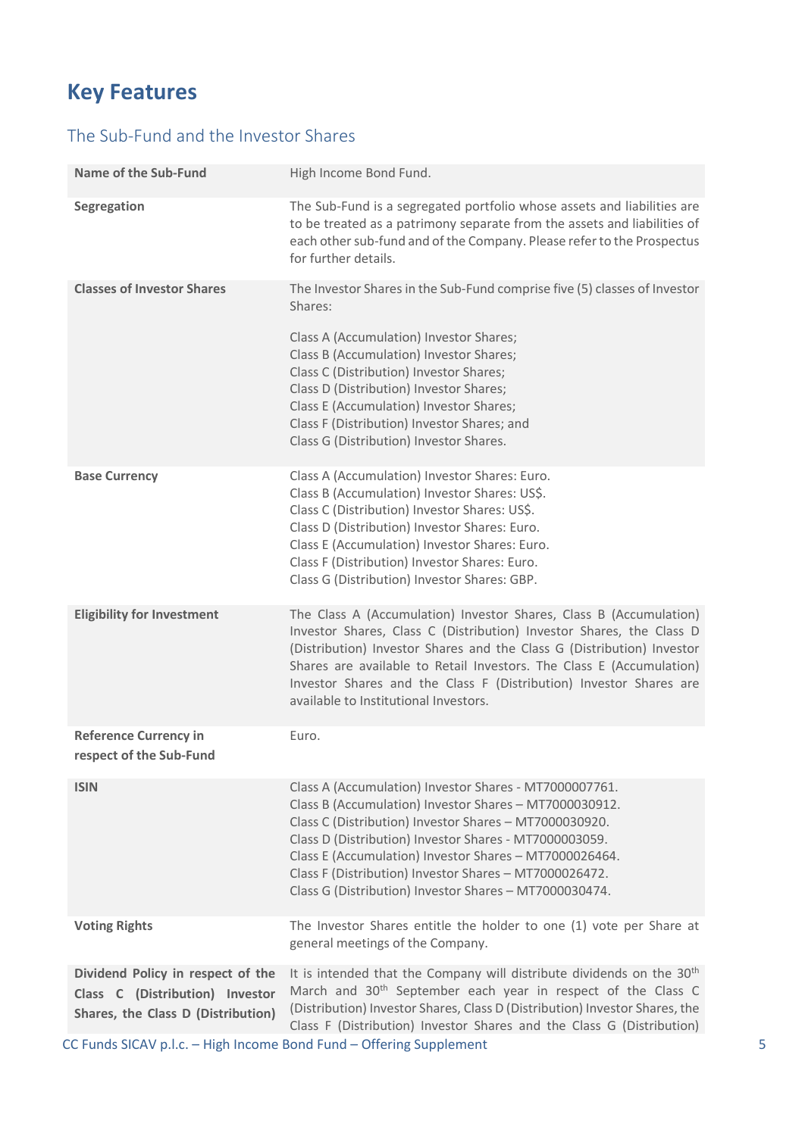# <span id="page-4-0"></span>**Key Features**

## The Sub-Fund and the Investor Shares

| <b>Name of the Sub-Fund</b>                                                                                | High Income Bond Fund.                                                                                                                                                                                                                                                                                                                                                                                             |
|------------------------------------------------------------------------------------------------------------|--------------------------------------------------------------------------------------------------------------------------------------------------------------------------------------------------------------------------------------------------------------------------------------------------------------------------------------------------------------------------------------------------------------------|
| Segregation                                                                                                | The Sub-Fund is a segregated portfolio whose assets and liabilities are<br>to be treated as a patrimony separate from the assets and liabilities of<br>each other sub-fund and of the Company. Please refer to the Prospectus<br>for further details.                                                                                                                                                              |
| <b>Classes of Investor Shares</b>                                                                          | The Investor Shares in the Sub-Fund comprise five (5) classes of Investor<br>Shares:                                                                                                                                                                                                                                                                                                                               |
|                                                                                                            | Class A (Accumulation) Investor Shares;<br>Class B (Accumulation) Investor Shares;<br>Class C (Distribution) Investor Shares;<br>Class D (Distribution) Investor Shares;<br>Class E (Accumulation) Investor Shares;<br>Class F (Distribution) Investor Shares; and<br>Class G (Distribution) Investor Shares.                                                                                                      |
| <b>Base Currency</b>                                                                                       | Class A (Accumulation) Investor Shares: Euro.<br>Class B (Accumulation) Investor Shares: US\$.<br>Class C (Distribution) Investor Shares: US\$.<br>Class D (Distribution) Investor Shares: Euro.<br>Class E (Accumulation) Investor Shares: Euro.<br>Class F (Distribution) Investor Shares: Euro.<br>Class G (Distribution) Investor Shares: GBP.                                                                 |
| <b>Eligibility for Investment</b>                                                                          | The Class A (Accumulation) Investor Shares, Class B (Accumulation)<br>Investor Shares, Class C (Distribution) Investor Shares, the Class D<br>(Distribution) Investor Shares and the Class G (Distribution) Investor<br>Shares are available to Retail Investors. The Class E (Accumulation)<br>Investor Shares and the Class F (Distribution) Investor Shares are<br>available to Institutional Investors.        |
| <b>Reference Currency in</b><br>respect of the Sub-Fund                                                    | Euro.                                                                                                                                                                                                                                                                                                                                                                                                              |
| <b>ISIN</b>                                                                                                | Class A (Accumulation) Investor Shares - MT7000007761.<br>Class B (Accumulation) Investor Shares - MT7000030912.<br>Class C (Distribution) Investor Shares - MT7000030920.<br>Class D (Distribution) Investor Shares - MT7000003059.<br>Class E (Accumulation) Investor Shares - MT7000026464.<br>Class F (Distribution) Investor Shares - MT7000026472.<br>Class G (Distribution) Investor Shares - MT7000030474. |
| <b>Voting Rights</b>                                                                                       | The Investor Shares entitle the holder to one (1) vote per Share at<br>general meetings of the Company.                                                                                                                                                                                                                                                                                                            |
| Dividend Policy in respect of the<br>Class C (Distribution) Investor<br>Shares, the Class D (Distribution) | It is intended that the Company will distribute dividends on the 30 <sup>th</sup><br>March and 30 <sup>th</sup> September each year in respect of the Class C<br>(Distribution) Investor Shares, Class D (Distribution) Investor Shares, the<br>Class F (Distribution) Investor Shares and the Class G (Distribution)                                                                                              |

CC Funds SICAV p.l.c. – High Income Bond Fund – Offering Supplement 5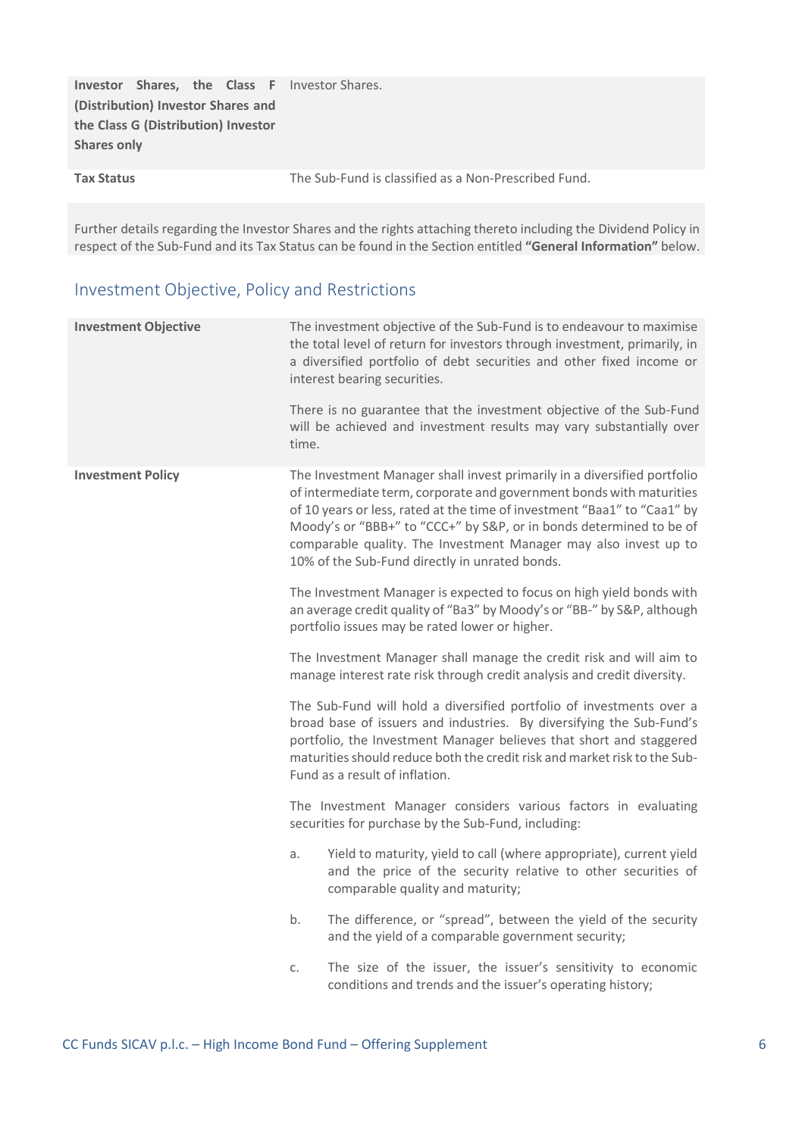|                                     |  |  |  | <b>Investor Shares, the Class F</b> Investor Shares. |
|-------------------------------------|--|--|--|------------------------------------------------------|
| (Distribution) Investor Shares and  |  |  |  |                                                      |
| the Class G (Distribution) Investor |  |  |  |                                                      |
| <b>Shares only</b>                  |  |  |  |                                                      |
| <b>Tax Status</b>                   |  |  |  | The Sub-Fund is classified as a Non-Prescribed Fund. |

Further details regarding the Investor Shares and the rights attaching thereto including the Dividend Policy in respect of the Sub-Fund and its Tax Status can be found in the Section entitled **"General Information"** below.

## Investment Objective, Policy and Restrictions

| <b>Investment Objective</b> | The investment objective of the Sub-Fund is to endeavour to maximise<br>the total level of return for investors through investment, primarily, in<br>a diversified portfolio of debt securities and other fixed income or<br>interest bearing securities.                                                                                                                                                                 |
|-----------------------------|---------------------------------------------------------------------------------------------------------------------------------------------------------------------------------------------------------------------------------------------------------------------------------------------------------------------------------------------------------------------------------------------------------------------------|
|                             | There is no guarantee that the investment objective of the Sub-Fund<br>will be achieved and investment results may vary substantially over<br>time.                                                                                                                                                                                                                                                                       |
| <b>Investment Policy</b>    | The Investment Manager shall invest primarily in a diversified portfolio<br>of intermediate term, corporate and government bonds with maturities<br>of 10 years or less, rated at the time of investment "Baa1" to "Caa1" by<br>Moody's or "BBB+" to "CCC+" by S&P, or in bonds determined to be of<br>comparable quality. The Investment Manager may also invest up to<br>10% of the Sub-Fund directly in unrated bonds. |
|                             | The Investment Manager is expected to focus on high yield bonds with<br>an average credit quality of "Ba3" by Moody's or "BB-" by S&P, although<br>portfolio issues may be rated lower or higher.                                                                                                                                                                                                                         |
|                             | The Investment Manager shall manage the credit risk and will aim to<br>manage interest rate risk through credit analysis and credit diversity.                                                                                                                                                                                                                                                                            |
|                             | The Sub-Fund will hold a diversified portfolio of investments over a<br>broad base of issuers and industries. By diversifying the Sub-Fund's<br>portfolio, the Investment Manager believes that short and staggered<br>maturities should reduce both the credit risk and market risk to the Sub-<br>Fund as a result of inflation.                                                                                        |
|                             | The Investment Manager considers various factors in evaluating<br>securities for purchase by the Sub-Fund, including:                                                                                                                                                                                                                                                                                                     |
|                             | Yield to maturity, yield to call (where appropriate), current yield<br>a.<br>and the price of the security relative to other securities of<br>comparable quality and maturity;                                                                                                                                                                                                                                            |
|                             | The difference, or "spread", between the yield of the security<br>b.<br>and the yield of a comparable government security;                                                                                                                                                                                                                                                                                                |
|                             | The size of the issuer, the issuer's sensitivity to economic<br>C.<br>conditions and trends and the issuer's operating history;                                                                                                                                                                                                                                                                                           |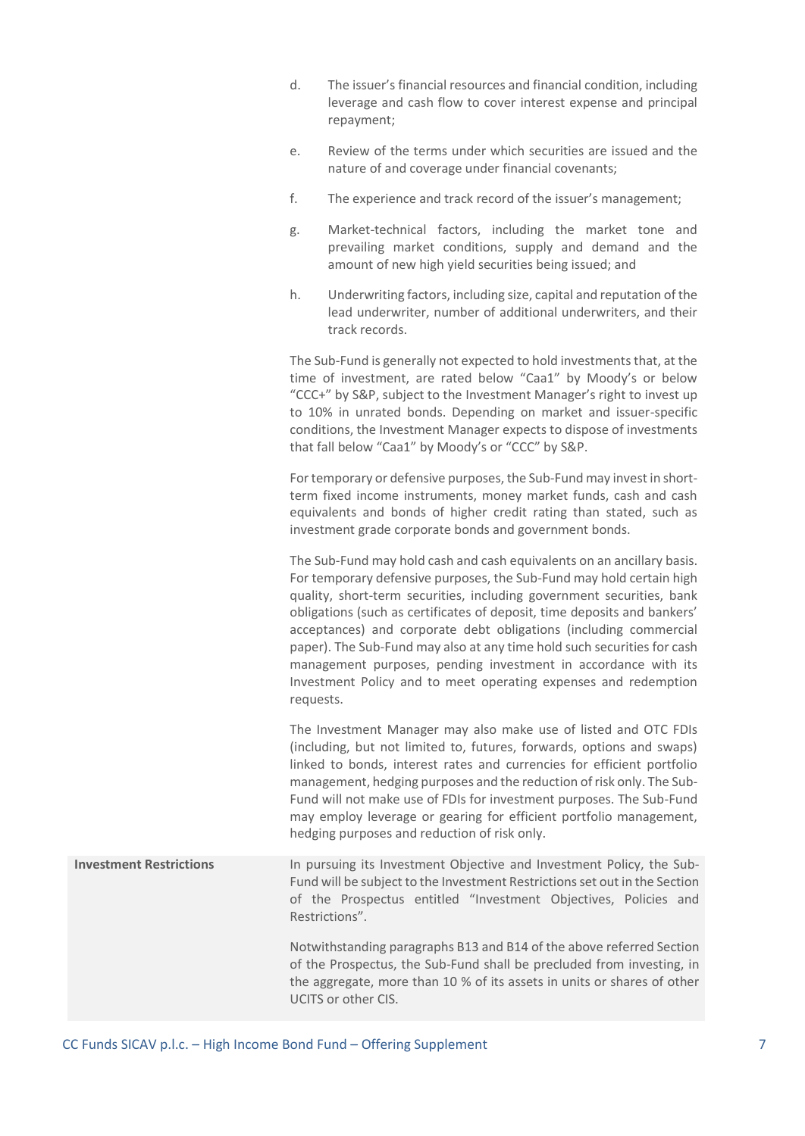- d. The issuer's financial resources and financial condition, including leverage and cash flow to cover interest expense and principal repayment;
- e. Review of the terms under which securities are issued and the nature of and coverage under financial covenants;
- f. The experience and track record of the issuer's management;
- g. Market-technical factors, including the market tone and prevailing market conditions, supply and demand and the amount of new high yield securities being issued; and
- h. Underwriting factors, including size, capital and reputation of the lead underwriter, number of additional underwriters, and their track records.

The Sub-Fund is generally not expected to hold investments that, at the time of investment, are rated below "Caa1" by Moody's or below "CCC+" by S&P, subject to the Investment Manager's right to invest up to 10% in unrated bonds. Depending on market and issuer-specific conditions, the Investment Manager expects to dispose of investments that fall below "Caa1" by Moody's or "CCC" by S&P.

For temporary or defensive purposes, the Sub-Fund may invest in shortterm fixed income instruments, money market funds, cash and cash equivalents and bonds of higher credit rating than stated, such as investment grade corporate bonds and government bonds.

The Sub-Fund may hold cash and cash equivalents on an ancillary basis. For temporary defensive purposes, the Sub-Fund may hold certain high quality, short-term securities, including government securities, bank obligations (such as certificates of deposit, time deposits and bankers' acceptances) and corporate debt obligations (including commercial paper). The Sub-Fund may also at any time hold such securities for cash management purposes, pending investment in accordance with its Investment Policy and to meet operating expenses and redemption requests.

The Investment Manager may also make use of listed and OTC FDIs (including, but not limited to, futures, forwards, options and swaps) linked to bonds, interest rates and currencies for efficient portfolio management, hedging purposes and the reduction of risk only. The Sub-Fund will not make use of FDIs for investment purposes. The Sub-Fund may employ leverage or gearing for efficient portfolio management, hedging purposes and reduction of risk only.

**Investment Restrictions** In pursuing its Investment Objective and Investment Policy, the Sub-Fund will be subject to the Investment Restrictions set out in the Section of the Prospectus entitled "Investment Objectives, Policies and Restrictions".

> Notwithstanding paragraphs B13 and B14 of the above referred Section of the Prospectus, the Sub-Fund shall be precluded from investing, in the aggregate, more than 10 % of its assets in units or shares of other UCITS or other CIS.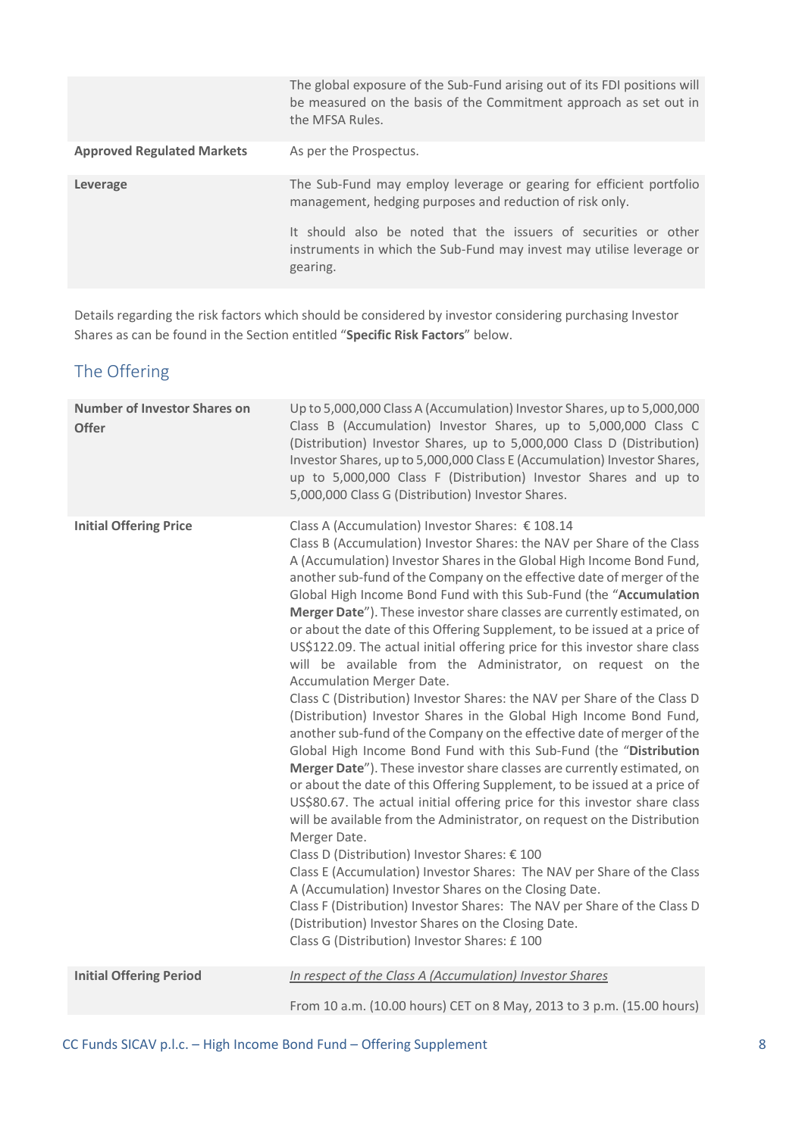|                                   | The global exposure of the Sub-Fund arising out of its FDI positions will<br>be measured on the basis of the Commitment approach as set out in<br>the MFSA Rules. |
|-----------------------------------|-------------------------------------------------------------------------------------------------------------------------------------------------------------------|
| <b>Approved Regulated Markets</b> | As per the Prospectus.                                                                                                                                            |
| Leverage                          | The Sub-Fund may employ leverage or gearing for efficient portfolio<br>management, hedging purposes and reduction of risk only.                                   |
|                                   | It should also be noted that the issuers of securities or other<br>instruments in which the Sub-Fund may invest may utilise leverage or<br>gearing.               |

Details regarding the risk factors which should be considered by investor considering purchasing Investor Shares as can be found in the Section entitled "**Specific Risk Factors**" below.

## The Offering

| <b>Number of Investor Shares on</b><br>Offer | Up to 5,000,000 Class A (Accumulation) Investor Shares, up to 5,000,000<br>Class B (Accumulation) Investor Shares, up to 5,000,000 Class C<br>(Distribution) Investor Shares, up to 5,000,000 Class D (Distribution)<br>Investor Shares, up to 5,000,000 Class E (Accumulation) Investor Shares,<br>up to 5,000,000 Class F (Distribution) Investor Shares and up to<br>5,000,000 Class G (Distribution) Investor Shares.                                                                                                                                                                                                                                                                                                                                                                                                                                                                                                                                                                                                                                                                                                                                                                                                                                                                                                                                                                                                                                                                                                                                                                                                                                                                                 |
|----------------------------------------------|-----------------------------------------------------------------------------------------------------------------------------------------------------------------------------------------------------------------------------------------------------------------------------------------------------------------------------------------------------------------------------------------------------------------------------------------------------------------------------------------------------------------------------------------------------------------------------------------------------------------------------------------------------------------------------------------------------------------------------------------------------------------------------------------------------------------------------------------------------------------------------------------------------------------------------------------------------------------------------------------------------------------------------------------------------------------------------------------------------------------------------------------------------------------------------------------------------------------------------------------------------------------------------------------------------------------------------------------------------------------------------------------------------------------------------------------------------------------------------------------------------------------------------------------------------------------------------------------------------------------------------------------------------------------------------------------------------------|
| <b>Initial Offering Price</b>                | Class A (Accumulation) Investor Shares: € 108.14<br>Class B (Accumulation) Investor Shares: the NAV per Share of the Class<br>A (Accumulation) Investor Shares in the Global High Income Bond Fund,<br>another sub-fund of the Company on the effective date of merger of the<br>Global High Income Bond Fund with this Sub-Fund (the "Accumulation<br>Merger Date"). These investor share classes are currently estimated, on<br>or about the date of this Offering Supplement, to be issued at a price of<br>US\$122.09. The actual initial offering price for this investor share class<br>will be available from the Administrator, on request on the<br><b>Accumulation Merger Date.</b><br>Class C (Distribution) Investor Shares: the NAV per Share of the Class D<br>(Distribution) Investor Shares in the Global High Income Bond Fund,<br>another sub-fund of the Company on the effective date of merger of the<br>Global High Income Bond Fund with this Sub-Fund (the "Distribution<br>Merger Date"). These investor share classes are currently estimated, on<br>or about the date of this Offering Supplement, to be issued at a price of<br>US\$80.67. The actual initial offering price for this investor share class<br>will be available from the Administrator, on request on the Distribution<br>Merger Date.<br>Class D (Distribution) Investor Shares: € 100<br>Class E (Accumulation) Investor Shares: The NAV per Share of the Class<br>A (Accumulation) Investor Shares on the Closing Date.<br>Class F (Distribution) Investor Shares: The NAV per Share of the Class D<br>(Distribution) Investor Shares on the Closing Date.<br>Class G (Distribution) Investor Shares: £100 |
| <b>Initial Offering Period</b>               | In respect of the Class A (Accumulation) Investor Shares<br>From 10 a.m. (10.00 hours) CET on 8 May, 2013 to 3 p.m. (15.00 hours)                                                                                                                                                                                                                                                                                                                                                                                                                                                                                                                                                                                                                                                                                                                                                                                                                                                                                                                                                                                                                                                                                                                                                                                                                                                                                                                                                                                                                                                                                                                                                                         |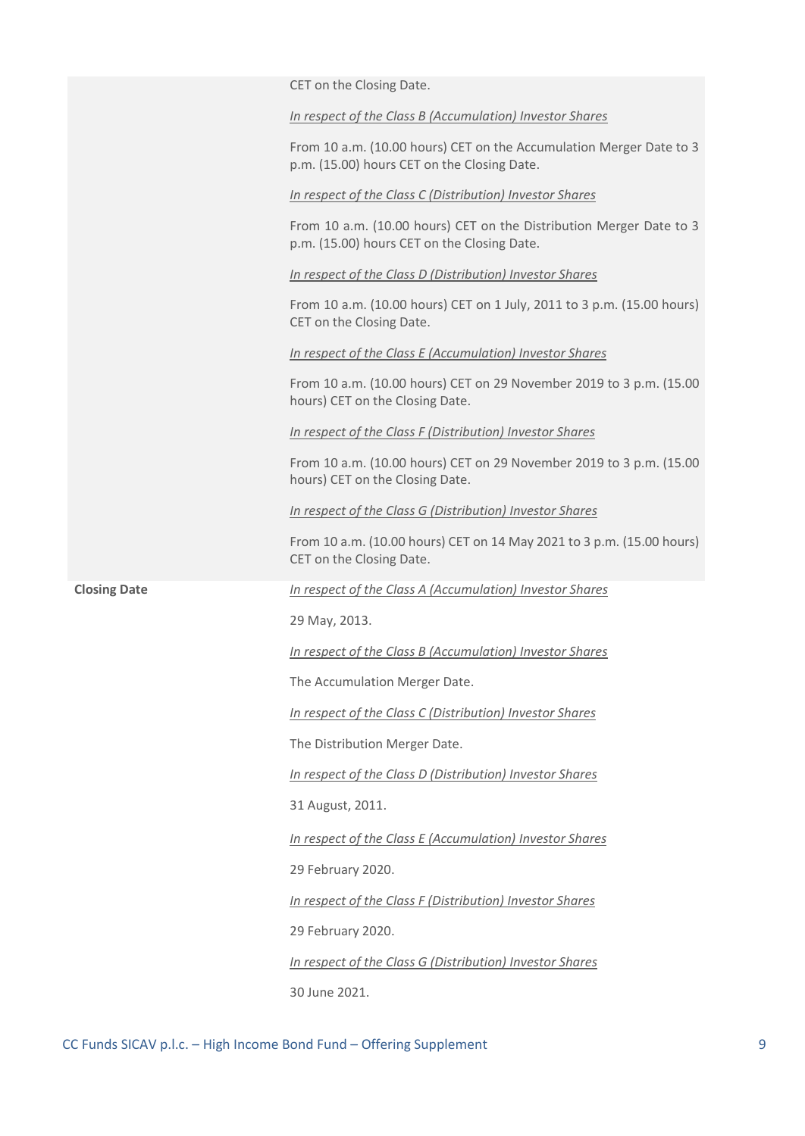|                     | CET on the Closing Date.                                                                                           |
|---------------------|--------------------------------------------------------------------------------------------------------------------|
|                     | In respect of the Class B (Accumulation) Investor Shares                                                           |
|                     | From 10 a.m. (10.00 hours) CET on the Accumulation Merger Date to 3<br>p.m. (15.00) hours CET on the Closing Date. |
|                     | In respect of the Class C (Distribution) Investor Shares                                                           |
|                     | From 10 a.m. (10.00 hours) CET on the Distribution Merger Date to 3<br>p.m. (15.00) hours CET on the Closing Date. |
|                     | In respect of the Class D (Distribution) Investor Shares                                                           |
|                     | From 10 a.m. (10.00 hours) CET on 1 July, 2011 to 3 p.m. (15.00 hours)<br>CET on the Closing Date.                 |
|                     | In respect of the Class E (Accumulation) Investor Shares                                                           |
|                     | From 10 a.m. (10.00 hours) CET on 29 November 2019 to 3 p.m. (15.00<br>hours) CET on the Closing Date.             |
|                     | In respect of the Class F (Distribution) Investor Shares                                                           |
|                     | From 10 a.m. (10.00 hours) CET on 29 November 2019 to 3 p.m. (15.00<br>hours) CET on the Closing Date.             |
|                     | In respect of the Class G (Distribution) Investor Shares                                                           |
|                     | From 10 a.m. (10.00 hours) CET on 14 May 2021 to 3 p.m. (15.00 hours)<br>CET on the Closing Date.                  |
| <b>Closing Date</b> | In respect of the Class A (Accumulation) Investor Shares                                                           |
|                     | 29 May, 2013.                                                                                                      |
|                     | In respect of the Class B (Accumulation) Investor Shares                                                           |
|                     | The Accumulation Merger Date.                                                                                      |
|                     | In respect of the Class C (Distribution) Investor Shares                                                           |
|                     | The Distribution Merger Date.                                                                                      |
|                     | In respect of the Class D (Distribution) Investor Shares                                                           |
|                     | 31 August, 2011.                                                                                                   |
|                     | In respect of the Class E (Accumulation) Investor Shares                                                           |
|                     | 29 February 2020.                                                                                                  |
|                     | In respect of the Class F (Distribution) Investor Shares                                                           |
|                     | 29 February 2020.                                                                                                  |
|                     | In respect of the Class G (Distribution) Investor Shares                                                           |
|                     | 30 June 2021.                                                                                                      |
|                     |                                                                                                                    |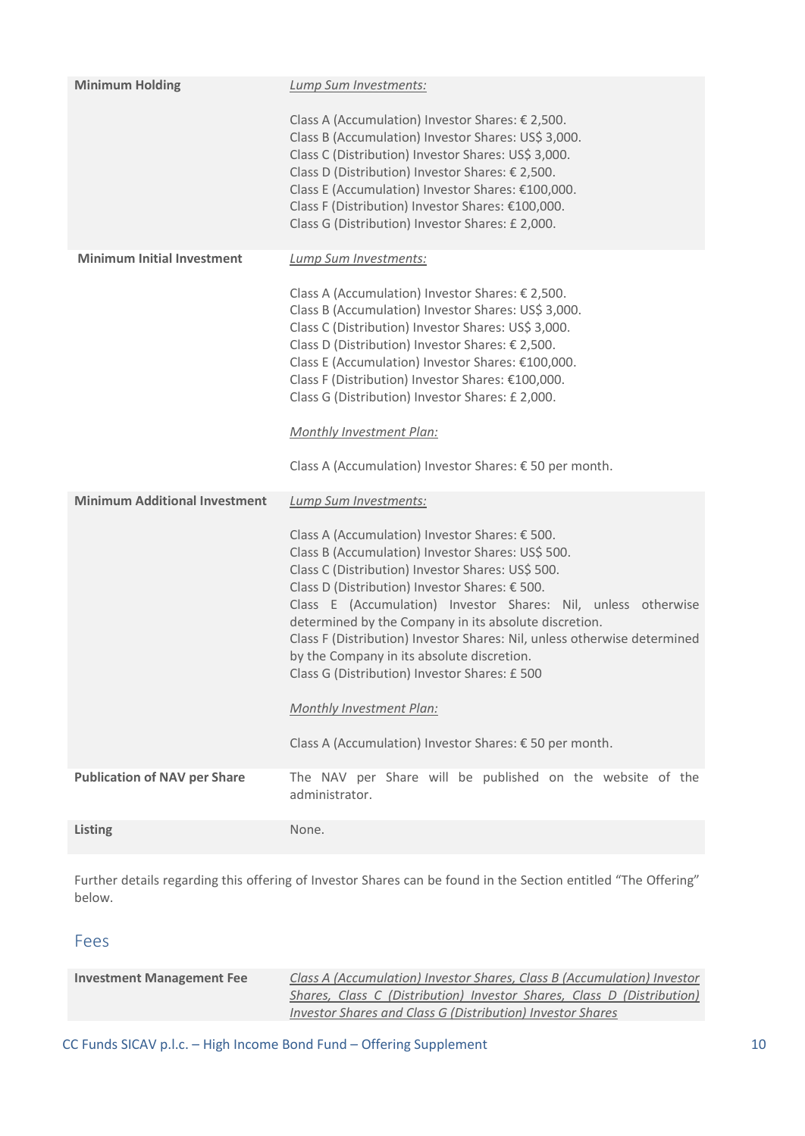| <b>Minimum Holding</b>               | Lump Sum Investments:                                                                                                                                                                                                                                                                                                                                                                                                                                                                                                                                                                                                           |
|--------------------------------------|---------------------------------------------------------------------------------------------------------------------------------------------------------------------------------------------------------------------------------------------------------------------------------------------------------------------------------------------------------------------------------------------------------------------------------------------------------------------------------------------------------------------------------------------------------------------------------------------------------------------------------|
|                                      | Class A (Accumulation) Investor Shares: € 2,500.<br>Class B (Accumulation) Investor Shares: US\$ 3,000.<br>Class C (Distribution) Investor Shares: US\$ 3,000.<br>Class D (Distribution) Investor Shares: € 2,500.<br>Class E (Accumulation) Investor Shares: €100,000.<br>Class F (Distribution) Investor Shares: €100,000.<br>Class G (Distribution) Investor Shares: £ 2,000.                                                                                                                                                                                                                                                |
| <b>Minimum Initial Investment</b>    | Lump Sum Investments:<br>Class A (Accumulation) Investor Shares: € 2,500.<br>Class B (Accumulation) Investor Shares: US\$ 3,000.<br>Class C (Distribution) Investor Shares: US\$ 3,000.<br>Class D (Distribution) Investor Shares: € 2,500.<br>Class E (Accumulation) Investor Shares: €100,000.<br>Class F (Distribution) Investor Shares: €100,000.<br>Class G (Distribution) Investor Shares: £ 2,000.<br><b>Monthly Investment Plan:</b><br>Class A (Accumulation) Investor Shares: € 50 per month.                                                                                                                         |
| <b>Minimum Additional Investment</b> | Lump Sum Investments:<br>Class A (Accumulation) Investor Shares: € 500.<br>Class B (Accumulation) Investor Shares: US\$ 500.<br>Class C (Distribution) Investor Shares: US\$ 500.<br>Class D (Distribution) Investor Shares: € 500.<br>Class E (Accumulation) Investor Shares: Nil, unless otherwise<br>determined by the Company in its absolute discretion.<br>Class F (Distribution) Investor Shares: Nil, unless otherwise determined<br>by the Company in its absolute discretion.<br>Class G (Distribution) Investor Shares: £ 500<br>Monthly Investment Plan:<br>Class A (Accumulation) Investor Shares: € 50 per month. |
| <b>Publication of NAV per Share</b>  | The NAV per Share will be published on the website of the<br>administrator.                                                                                                                                                                                                                                                                                                                                                                                                                                                                                                                                                     |
| <b>Listing</b>                       | None.                                                                                                                                                                                                                                                                                                                                                                                                                                                                                                                                                                                                                           |

Further details regarding this offering of Investor Shares can be found in the Section entitled "The Offering" below.

### Fees

| <b>Investment Management Fee</b> | Class A (Accumulation) Investor Shares, Class B (Accumulation) Investor |
|----------------------------------|-------------------------------------------------------------------------|
|                                  | Shares, Class C (Distribution) Investor Shares, Class D (Distribution)  |
|                                  | Investor Shares and Class G (Distribution) Investor Shares              |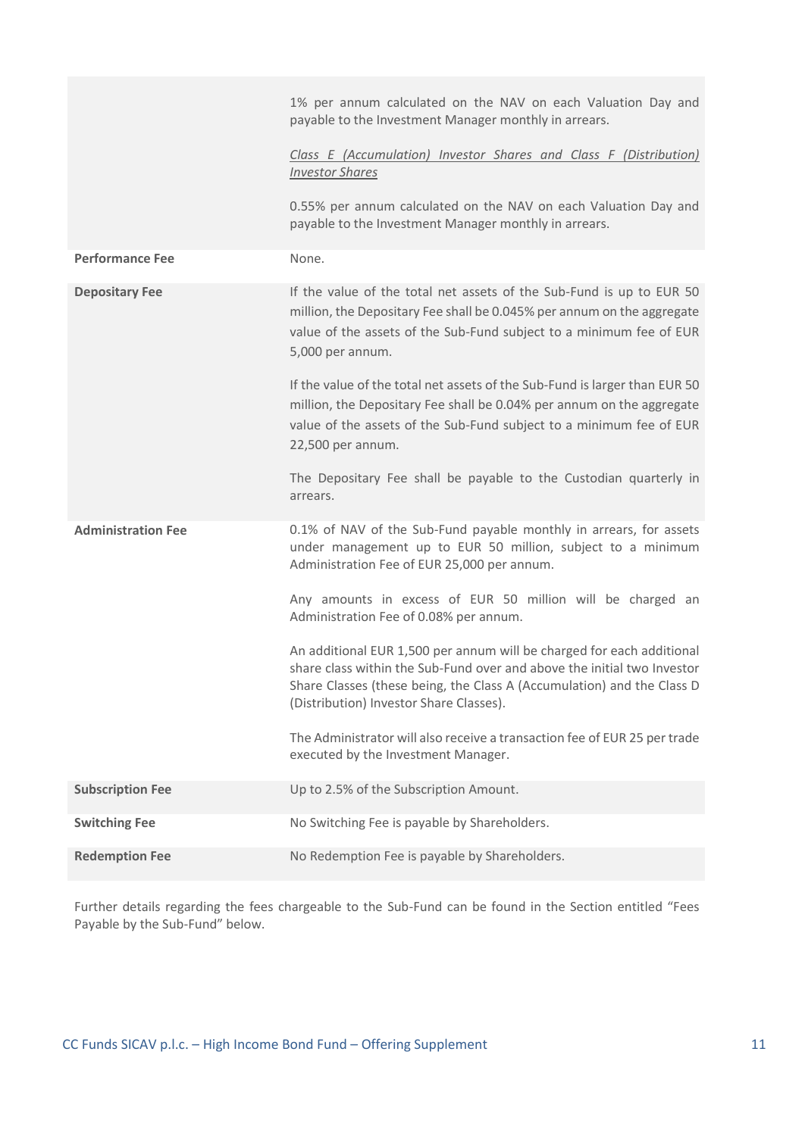|                           | 1% per annum calculated on the NAV on each Valuation Day and<br>payable to the Investment Manager monthly in arrears.<br>Class E (Accumulation) Investor Shares and Class F (Distribution)                                                                            |
|---------------------------|-----------------------------------------------------------------------------------------------------------------------------------------------------------------------------------------------------------------------------------------------------------------------|
|                           | <b>Investor Shares</b>                                                                                                                                                                                                                                                |
|                           | 0.55% per annum calculated on the NAV on each Valuation Day and<br>payable to the Investment Manager monthly in arrears.                                                                                                                                              |
| <b>Performance Fee</b>    | None.                                                                                                                                                                                                                                                                 |
| <b>Depositary Fee</b>     | If the value of the total net assets of the Sub-Fund is up to EUR 50<br>million, the Depositary Fee shall be 0.045% per annum on the aggregate<br>value of the assets of the Sub-Fund subject to a minimum fee of EUR<br>5,000 per annum.                             |
|                           | If the value of the total net assets of the Sub-Fund is larger than EUR 50<br>million, the Depositary Fee shall be 0.04% per annum on the aggregate<br>value of the assets of the Sub-Fund subject to a minimum fee of EUR<br>22,500 per annum.                       |
|                           | The Depositary Fee shall be payable to the Custodian quarterly in<br>arrears.                                                                                                                                                                                         |
| <b>Administration Fee</b> | 0.1% of NAV of the Sub-Fund payable monthly in arrears, for assets<br>under management up to EUR 50 million, subject to a minimum<br>Administration Fee of EUR 25,000 per annum.                                                                                      |
|                           | Any amounts in excess of EUR 50 million will be charged an<br>Administration Fee of 0.08% per annum.                                                                                                                                                                  |
|                           | An additional EUR 1,500 per annum will be charged for each additional<br>share class within the Sub-Fund over and above the initial two Investor<br>Share Classes (these being, the Class A (Accumulation) and the Class D<br>(Distribution) Investor Share Classes). |
|                           | The Administrator will also receive a transaction fee of EUR 25 per trade<br>executed by the Investment Manager.                                                                                                                                                      |
| <b>Subscription Fee</b>   | Up to 2.5% of the Subscription Amount.                                                                                                                                                                                                                                |
| <b>Switching Fee</b>      | No Switching Fee is payable by Shareholders.                                                                                                                                                                                                                          |
| <b>Redemption Fee</b>     | No Redemption Fee is payable by Shareholders.                                                                                                                                                                                                                         |

Further details regarding the fees chargeable to the Sub-Fund can be found in the Section entitled "Fees Payable by the Sub-Fund" below.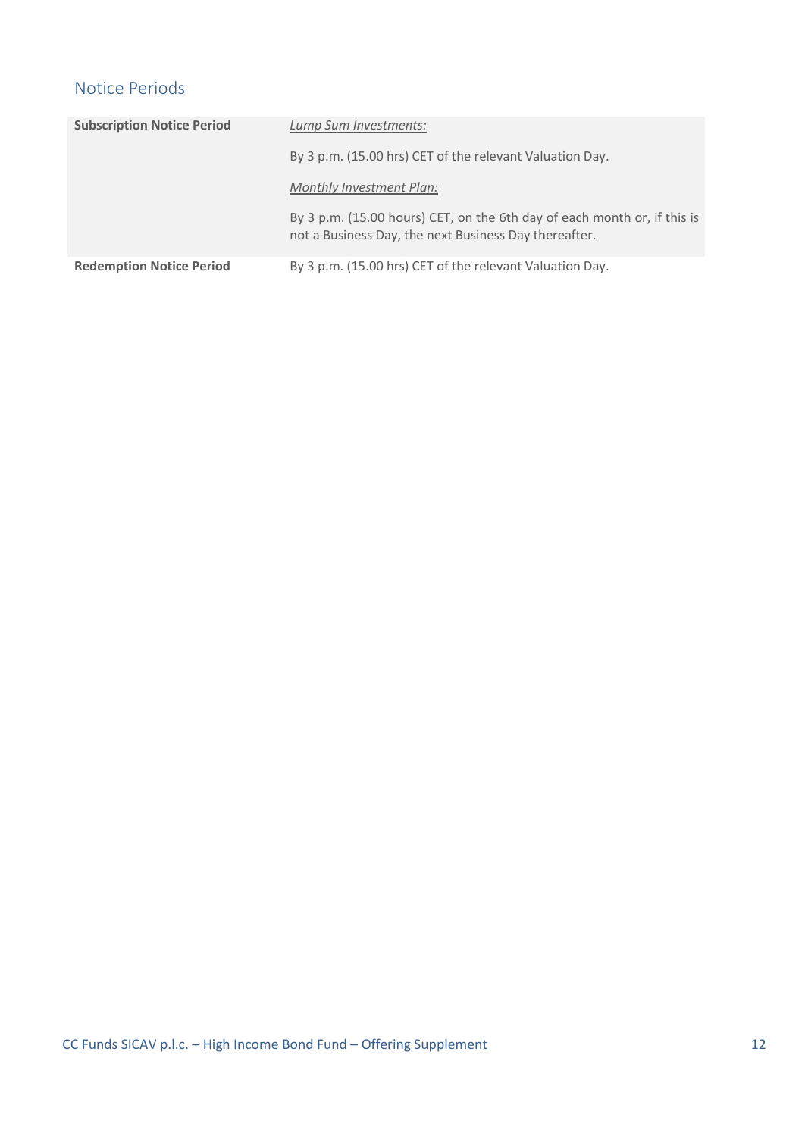## Notice Periods

| <b>Subscription Notice Period</b> | Lump Sum Investments:                                                                                                             |
|-----------------------------------|-----------------------------------------------------------------------------------------------------------------------------------|
|                                   | By 3 p.m. (15.00 hrs) CET of the relevant Valuation Day.                                                                          |
|                                   | Monthly Investment Plan:                                                                                                          |
|                                   | By 3 p.m. (15.00 hours) CET, on the 6th day of each month or, if this is<br>not a Business Day, the next Business Day thereafter. |
| <b>Redemption Notice Period</b>   | By 3 p.m. (15.00 hrs) CET of the relevant Valuation Day.                                                                          |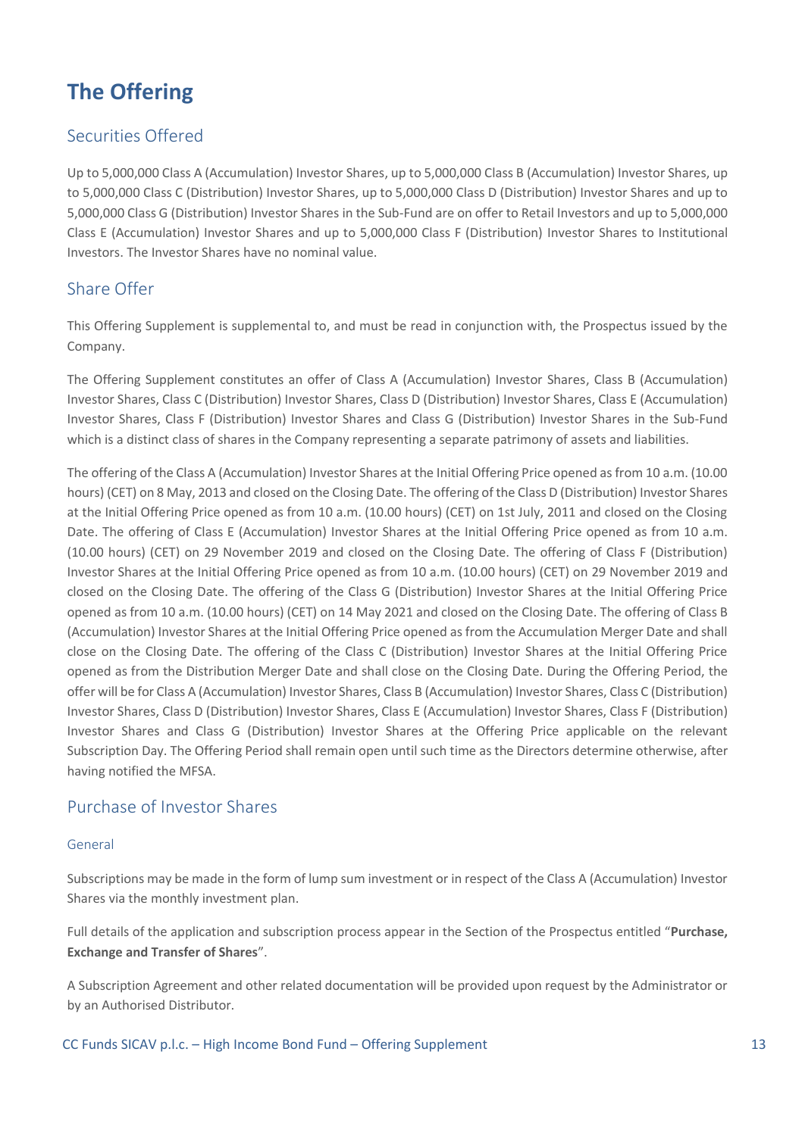# <span id="page-12-0"></span>**The Offering**

## Securities Offered

Up to 5,000,000 Class A (Accumulation) Investor Shares, up to 5,000,000 Class B (Accumulation) Investor Shares, up to 5,000,000 Class C (Distribution) Investor Shares, up to 5,000,000 Class D (Distribution) Investor Shares and up to 5,000,000 Class G (Distribution) Investor Shares in the Sub-Fund are on offer to Retail Investors and up to 5,000,000 Class E (Accumulation) Investor Shares and up to 5,000,000 Class F (Distribution) Investor Shares to Institutional Investors. The Investor Shares have no nominal value.

## Share Offer

This Offering Supplement is supplemental to, and must be read in conjunction with, the Prospectus issued by the Company.

The Offering Supplement constitutes an offer of Class A (Accumulation) Investor Shares, Class B (Accumulation) Investor Shares, Class C (Distribution) Investor Shares, Class D (Distribution) Investor Shares, Class E (Accumulation) Investor Shares, Class F (Distribution) Investor Shares and Class G (Distribution) Investor Shares in the Sub-Fund which is a distinct class of shares in the Company representing a separate patrimony of assets and liabilities.

The offering of the Class A (Accumulation) Investor Shares at the Initial Offering Price opened as from 10 a.m. (10.00 hours) (CET) on 8 May, 2013 and closed on the Closing Date. The offering of the Class D (Distribution) Investor Shares at the Initial Offering Price opened as from 10 a.m. (10.00 hours) (CET) on 1st July, 2011 and closed on the Closing Date. The offering of Class E (Accumulation) Investor Shares at the Initial Offering Price opened as from 10 a.m. (10.00 hours) (CET) on 29 November 2019 and closed on the Closing Date. The offering of Class F (Distribution) Investor Shares at the Initial Offering Price opened as from 10 a.m. (10.00 hours) (CET) on 29 November 2019 and closed on the Closing Date. The offering of the Class G (Distribution) Investor Shares at the Initial Offering Price opened as from 10 a.m. (10.00 hours) (CET) on 14 May 2021 and closed on the Closing Date. The offering of Class B (Accumulation) Investor Shares at the Initial Offering Price opened as from the Accumulation Merger Date and shall close on the Closing Date. The offering of the Class C (Distribution) Investor Shares at the Initial Offering Price opened as from the Distribution Merger Date and shall close on the Closing Date. During the Offering Period, the offer will be for Class A (Accumulation) Investor Shares, Class B (Accumulation) Investor Shares, Class C (Distribution) Investor Shares, Class D (Distribution) Investor Shares, Class E (Accumulation) Investor Shares, Class F (Distribution) Investor Shares and Class G (Distribution) Investor Shares at the Offering Price applicable on the relevant Subscription Day. The Offering Period shall remain open until such time as the Directors determine otherwise, after having notified the MFSA.

### Purchase of Investor Shares

### General

Subscriptions may be made in the form of lump sum investment or in respect of the Class A (Accumulation) Investor Shares via the monthly investment plan.

Full details of the application and subscription process appear in the Section of the Prospectus entitled "**Purchase, Exchange and Transfer of Shares**".

A Subscription Agreement and other related documentation will be provided upon request by the Administrator or by an Authorised Distributor.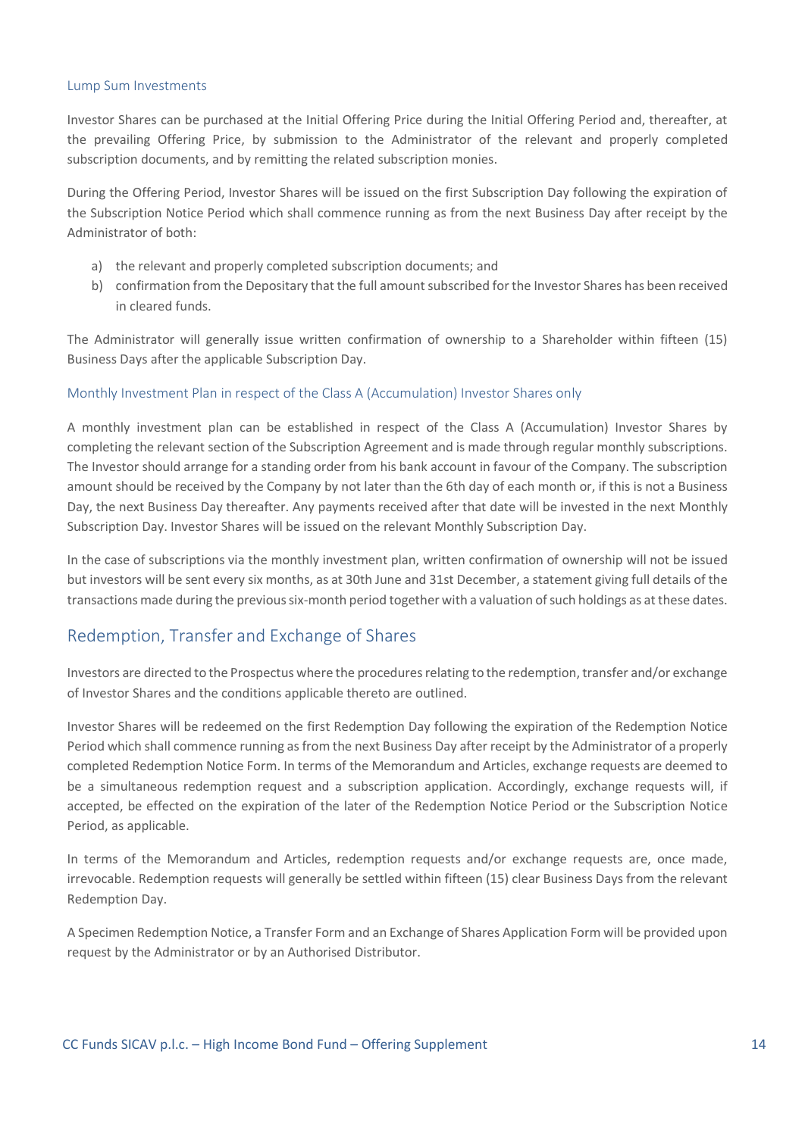#### Lump Sum Investments

Investor Shares can be purchased at the Initial Offering Price during the Initial Offering Period and, thereafter, at the prevailing Offering Price, by submission to the Administrator of the relevant and properly completed subscription documents, and by remitting the related subscription monies.

During the Offering Period, Investor Shares will be issued on the first Subscription Day following the expiration of the Subscription Notice Period which shall commence running as from the next Business Day after receipt by the Administrator of both:

- a) the relevant and properly completed subscription documents; and
- b) confirmation from the Depositary that the full amount subscribed for the Investor Shares has been received in cleared funds.

The Administrator will generally issue written confirmation of ownership to a Shareholder within fifteen (15) Business Days after the applicable Subscription Day.

#### Monthly Investment Plan in respect of the Class A (Accumulation) Investor Shares only

A monthly investment plan can be established in respect of the Class A (Accumulation) Investor Shares by completing the relevant section of the Subscription Agreement and is made through regular monthly subscriptions. The Investor should arrange for a standing order from his bank account in favour of the Company. The subscription amount should be received by the Company by not later than the 6th day of each month or, if this is not a Business Day, the next Business Day thereafter. Any payments received after that date will be invested in the next Monthly Subscription Day. Investor Shares will be issued on the relevant Monthly Subscription Day.

In the case of subscriptions via the monthly investment plan, written confirmation of ownership will not be issued but investors will be sent every six months, as at 30th June and 31st December, a statement giving full details of the transactions made during the previous six-month period together with a valuation of such holdings as at these dates.

### Redemption, Transfer and Exchange of Shares

Investors are directed to the Prospectus where the procedures relating to the redemption, transfer and/or exchange of Investor Shares and the conditions applicable thereto are outlined.

Investor Shares will be redeemed on the first Redemption Day following the expiration of the Redemption Notice Period which shall commence running as from the next Business Day after receipt by the Administrator of a properly completed Redemption Notice Form. In terms of the Memorandum and Articles, exchange requests are deemed to be a simultaneous redemption request and a subscription application. Accordingly, exchange requests will, if accepted, be effected on the expiration of the later of the Redemption Notice Period or the Subscription Notice Period, as applicable.

In terms of the Memorandum and Articles, redemption requests and/or exchange requests are, once made, irrevocable. Redemption requests will generally be settled within fifteen (15) clear Business Days from the relevant Redemption Day.

A Specimen Redemption Notice, a Transfer Form and an Exchange of Shares Application Form will be provided upon request by the Administrator or by an Authorised Distributor.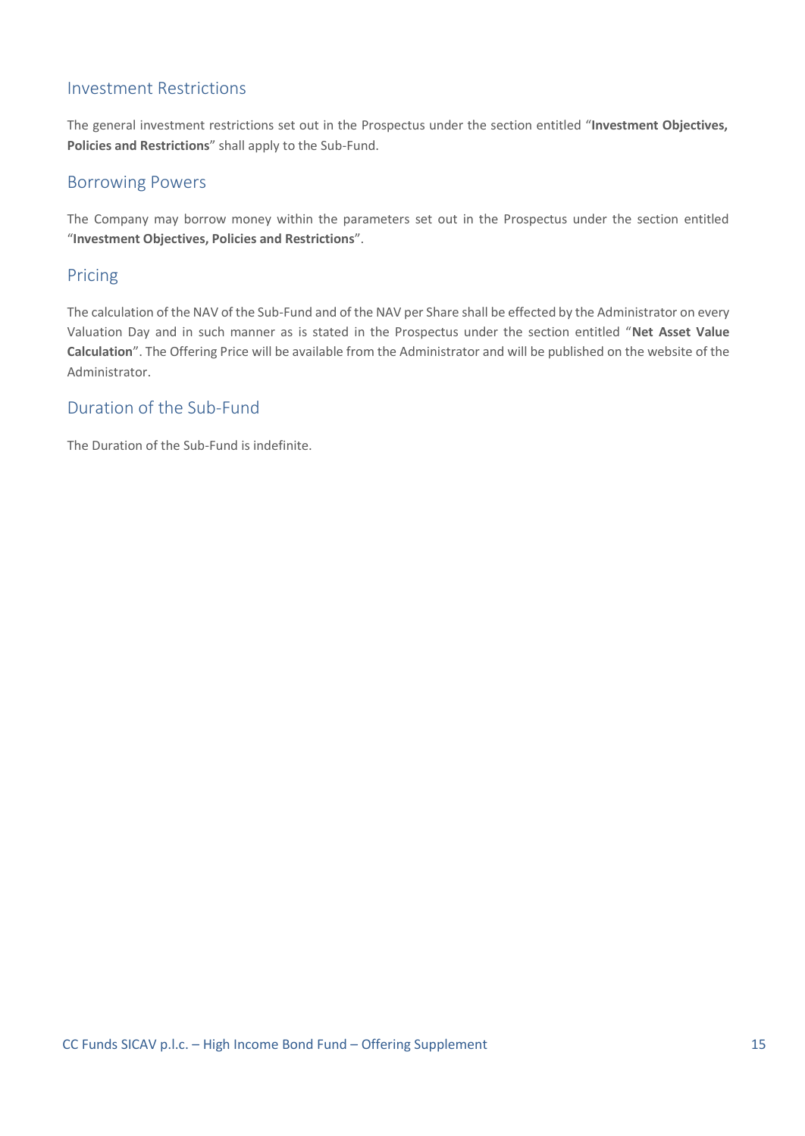## Investment Restrictions

The general investment restrictions set out in the Prospectus under the section entitled "**Investment Objectives, Policies and Restrictions**" shall apply to the Sub-Fund.

### Borrowing Powers

The Company may borrow money within the parameters set out in the Prospectus under the section entitled "**Investment Objectives, Policies and Restrictions**".

### Pricing

The calculation of the NAV of the Sub-Fund and of the NAV per Share shall be effected by the Administrator on every Valuation Day and in such manner as is stated in the Prospectus under the section entitled "**Net Asset Value Calculation**". The Offering Price will be available from the Administrator and will be published on the website of the Administrator.

### Duration of the Sub-Fund

The Duration of the Sub-Fund is indefinite.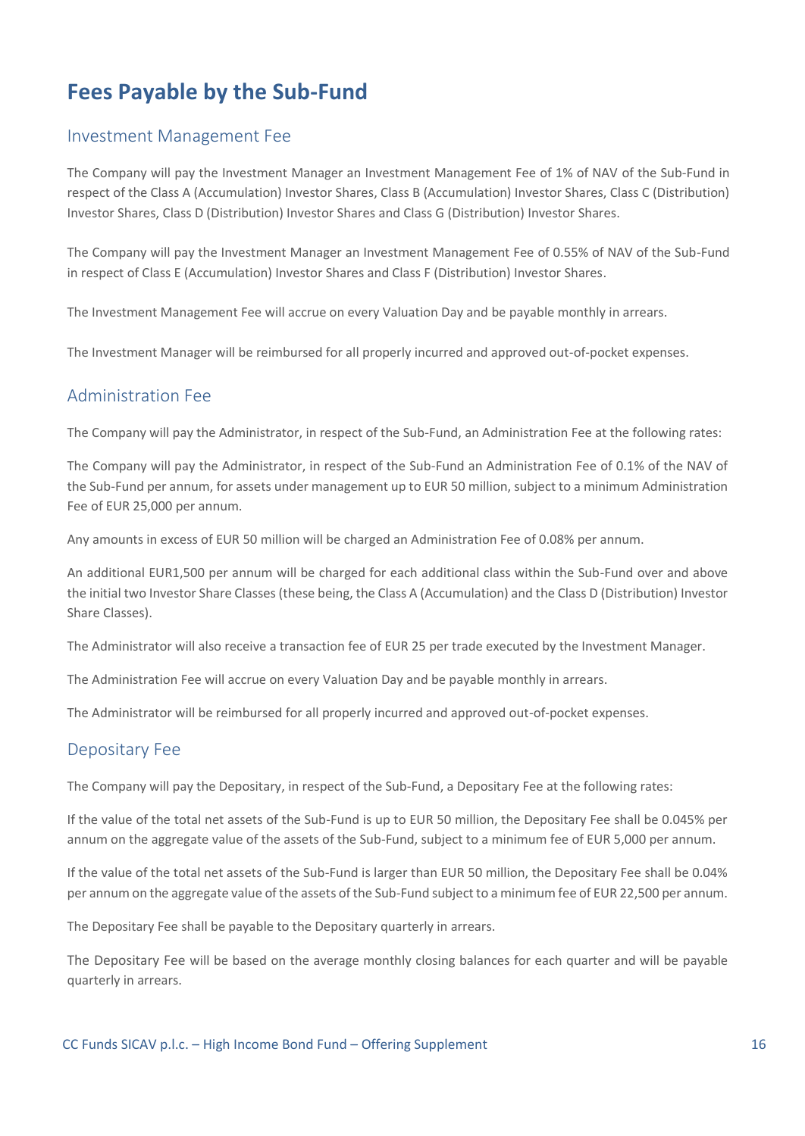## <span id="page-15-0"></span>**Fees Payable by the Sub-Fund**

### Investment Management Fee

The Company will pay the Investment Manager an Investment Management Fee of 1% of NAV of the Sub-Fund in respect of the Class A (Accumulation) Investor Shares, Class B (Accumulation) Investor Shares, Class C (Distribution) Investor Shares, Class D (Distribution) Investor Shares and Class G (Distribution) Investor Shares.

The Company will pay the Investment Manager an Investment Management Fee of 0.55% of NAV of the Sub-Fund in respect of Class E (Accumulation) Investor Shares and Class F (Distribution) Investor Shares.

The Investment Management Fee will accrue on every Valuation Day and be payable monthly in arrears.

The Investment Manager will be reimbursed for all properly incurred and approved out-of-pocket expenses.

### Administration Fee

The Company will pay the Administrator, in respect of the Sub-Fund, an Administration Fee at the following rates:

The Company will pay the Administrator, in respect of the Sub-Fund an Administration Fee of 0.1% of the NAV of the Sub-Fund per annum, for assets under management up to EUR 50 million, subject to a minimum Administration Fee of EUR 25,000 per annum.

Any amounts in excess of EUR 50 million will be charged an Administration Fee of 0.08% per annum.

An additional EUR1,500 per annum will be charged for each additional class within the Sub-Fund over and above the initial two Investor Share Classes (these being, the Class A (Accumulation) and the Class D (Distribution) Investor Share Classes).

The Administrator will also receive a transaction fee of EUR 25 per trade executed by the Investment Manager.

The Administration Fee will accrue on every Valuation Day and be payable monthly in arrears.

The Administrator will be reimbursed for all properly incurred and approved out-of-pocket expenses.

### Depositary Fee

The Company will pay the Depositary, in respect of the Sub-Fund, a Depositary Fee at the following rates:

If the value of the total net assets of the Sub-Fund is up to EUR 50 million, the Depositary Fee shall be 0.045% per annum on the aggregate value of the assets of the Sub-Fund, subject to a minimum fee of EUR 5,000 per annum.

If the value of the total net assets of the Sub-Fund is larger than EUR 50 million, the Depositary Fee shall be 0.04% per annum on the aggregate value of the assets of the Sub-Fund subject to a minimum fee of EUR 22,500 per annum.

The Depositary Fee shall be payable to the Depositary quarterly in arrears.

The Depositary Fee will be based on the average monthly closing balances for each quarter and will be payable quarterly in arrears.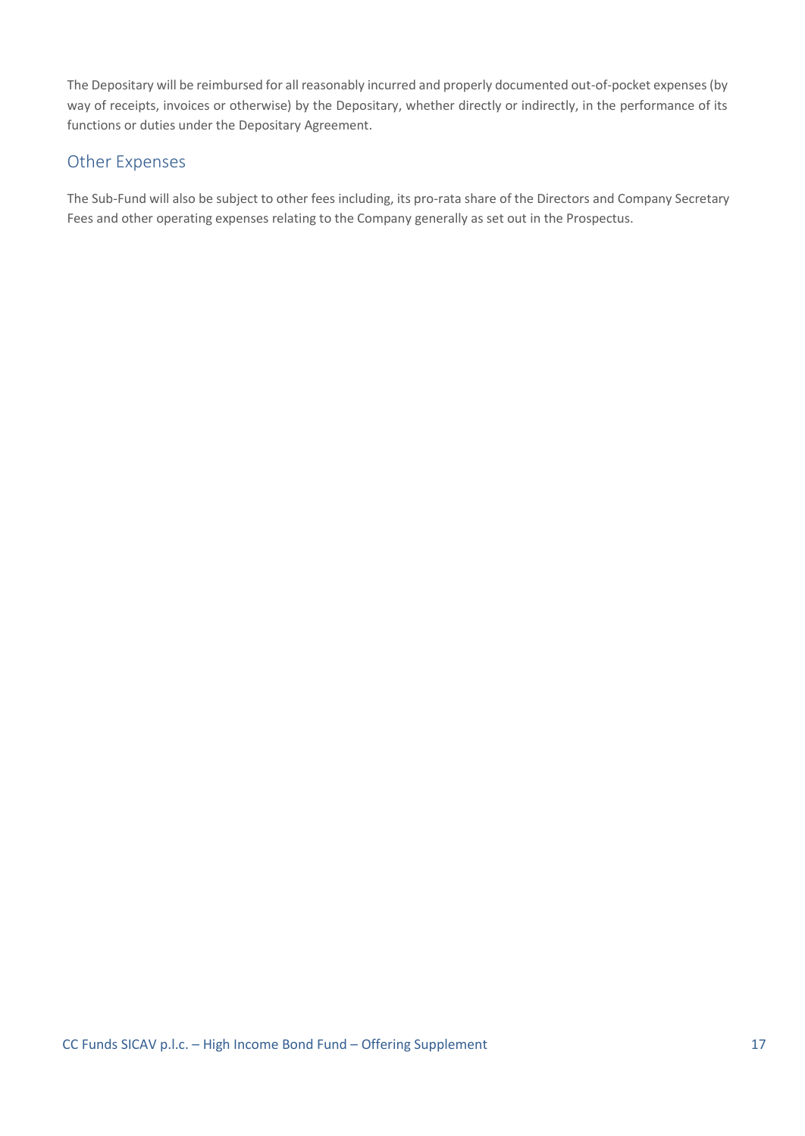The Depositary will be reimbursed for all reasonably incurred and properly documented out-of-pocket expenses (by way of receipts, invoices or otherwise) by the Depositary, whether directly or indirectly, in the performance of its functions or duties under the Depositary Agreement.

### Other Expenses

The Sub-Fund will also be subject to other fees including, its pro-rata share of the Directors and Company Secretary Fees and other operating expenses relating to the Company generally as set out in the Prospectus.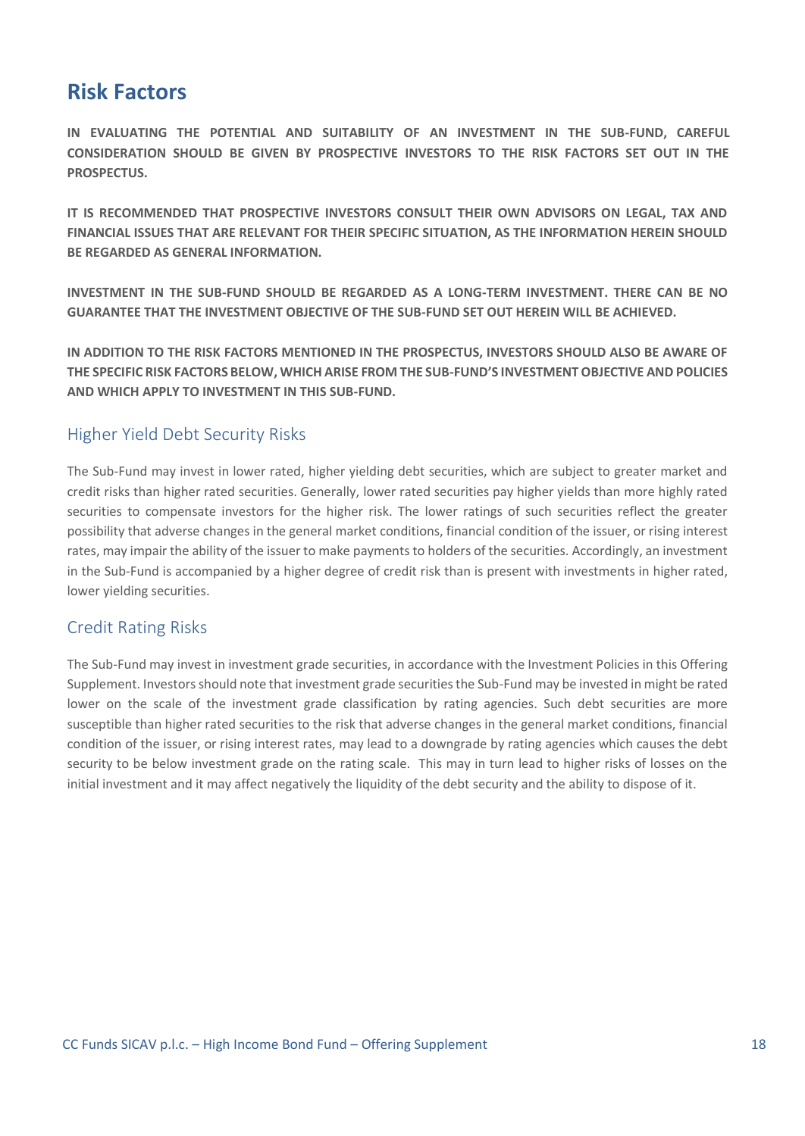## <span id="page-17-0"></span>**Risk Factors**

**IN EVALUATING THE POTENTIAL AND SUITABILITY OF AN INVESTMENT IN THE SUB-FUND, CAREFUL CONSIDERATION SHOULD BE GIVEN BY PROSPECTIVE INVESTORS TO THE RISK FACTORS SET OUT IN THE PROSPECTUS.** 

**IT IS RECOMMENDED THAT PROSPECTIVE INVESTORS CONSULT THEIR OWN ADVISORS ON LEGAL, TAX AND FINANCIAL ISSUES THAT ARE RELEVANT FOR THEIR SPECIFIC SITUATION, AS THE INFORMATION HEREIN SHOULD BE REGARDED AS GENERAL INFORMATION.**

**INVESTMENT IN THE SUB-FUND SHOULD BE REGARDED AS A LONG-TERM INVESTMENT. THERE CAN BE NO GUARANTEE THAT THE INVESTMENT OBJECTIVE OF THE SUB-FUND SET OUT HEREIN WILL BE ACHIEVED.**

**IN ADDITION TO THE RISK FACTORS MENTIONED IN THE PROSPECTUS, INVESTORS SHOULD ALSO BE AWARE OF THE SPECIFIC RISK FACTORS BELOW, WHICH ARISE FROM THE SUB-FUND'S INVESTMENT OBJECTIVE AND POLICIES AND WHICH APPLY TO INVESTMENT IN THIS SUB-FUND.**

### Higher Yield Debt Security Risks

The Sub-Fund may invest in lower rated, higher yielding debt securities, which are subject to greater market and credit risks than higher rated securities. Generally, lower rated securities pay higher yields than more highly rated securities to compensate investors for the higher risk. The lower ratings of such securities reflect the greater possibility that adverse changes in the general market conditions, financial condition of the issuer, or rising interest rates, may impair the ability of the issuer to make payments to holders of the securities. Accordingly, an investment in the Sub-Fund is accompanied by a higher degree of credit risk than is present with investments in higher rated, lower yielding securities.

### Credit Rating Risks

The Sub-Fund may invest in investment grade securities, in accordance with the Investment Policies in this Offering Supplement. Investors should note that investment grade securities the Sub-Fund may be invested in might be rated lower on the scale of the investment grade classification by rating agencies. Such debt securities are more susceptible than higher rated securities to the risk that adverse changes in the general market conditions, financial condition of the issuer, or rising interest rates, may lead to a downgrade by rating agencies which causes the debt security to be below investment grade on the rating scale. This may in turn lead to higher risks of losses on the initial investment and it may affect negatively the liquidity of the debt security and the ability to dispose of it.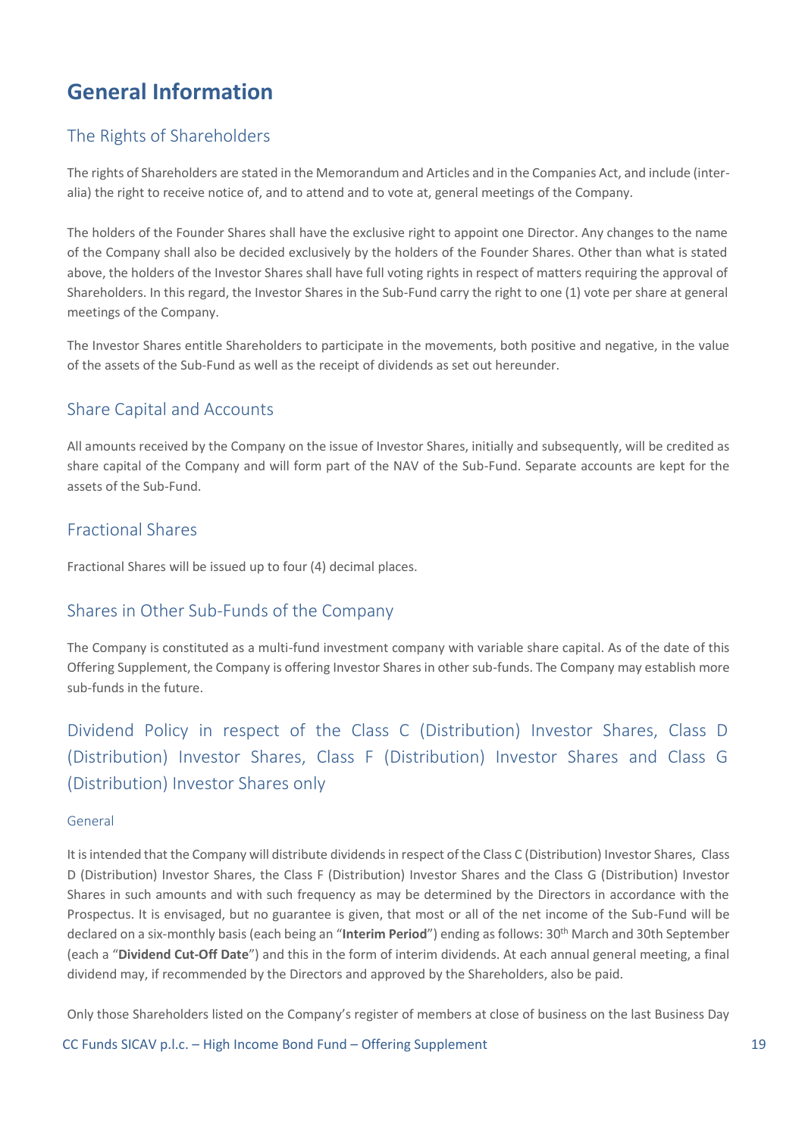## <span id="page-18-0"></span>**General Information**

## The Rights of Shareholders

The rights of Shareholders are stated in the Memorandum and Articles and in the Companies Act, and include (interalia) the right to receive notice of, and to attend and to vote at, general meetings of the Company.

The holders of the Founder Shares shall have the exclusive right to appoint one Director. Any changes to the name of the Company shall also be decided exclusively by the holders of the Founder Shares. Other than what is stated above, the holders of the Investor Shares shall have full voting rights in respect of matters requiring the approval of Shareholders. In this regard, the Investor Shares in the Sub-Fund carry the right to one (1) vote per share at general meetings of the Company.

The Investor Shares entitle Shareholders to participate in the movements, both positive and negative, in the value of the assets of the Sub-Fund as well as the receipt of dividends as set out hereunder.

## Share Capital and Accounts

All amounts received by the Company on the issue of Investor Shares, initially and subsequently, will be credited as share capital of the Company and will form part of the NAV of the Sub-Fund. Separate accounts are kept for the assets of the Sub-Fund.

## Fractional Shares

Fractional Shares will be issued up to four (4) decimal places.

### Shares in Other Sub-Funds of the Company

The Company is constituted as a multi-fund investment company with variable share capital. As of the date of this Offering Supplement, the Company is offering Investor Shares in other sub-funds. The Company may establish more sub-funds in the future.

Dividend Policy in respect of the Class C (Distribution) Investor Shares, Class D (Distribution) Investor Shares, Class F (Distribution) Investor Shares and Class G (Distribution) Investor Shares only

#### General

It is intended that the Company will distribute dividends in respect of the Class C (Distribution) Investor Shares, Class D (Distribution) Investor Shares, the Class F (Distribution) Investor Shares and the Class G (Distribution) Investor Shares in such amounts and with such frequency as may be determined by the Directors in accordance with the Prospectus. It is envisaged, but no guarantee is given, that most or all of the net income of the Sub-Fund will be declared on a six-monthly basis (each being an "**Interim Period**") ending as follows: 30th March and 30th September (each a "**Dividend Cut-Off Date**") and this in the form of interim dividends. At each annual general meeting, a final dividend may, if recommended by the Directors and approved by the Shareholders, also be paid.

Only those Shareholders listed on the Company's register of members at close of business on the last Business Day

CC Funds SICAV p.l.c. – High Income Bond Fund – Offering Supplement 19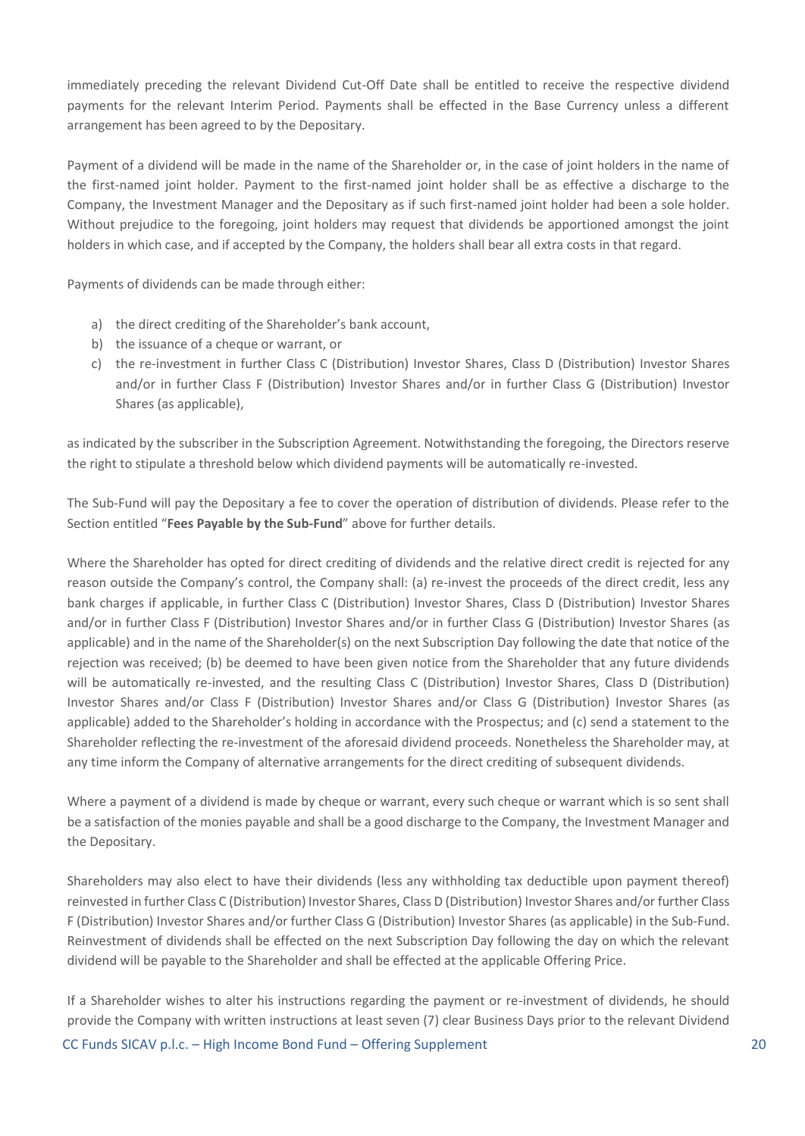immediately preceding the relevant Dividend Cut-Off Date shall be entitled to receive the respective dividend payments for the relevant Interim Period. Payments shall be effected in the Base Currency unless a different arrangement has been agreed to by the Depositary.

Payment of a dividend will be made in the name of the Shareholder or, in the case of joint holders in the name of the first-named joint holder. Payment to the first-named joint holder shall be as effective a discharge to the Company, the Investment Manager and the Depositary as if such first-named joint holder had been a sole holder. Without prejudice to the foregoing, joint holders may request that dividends be apportioned amongst the joint holders in which case, and if accepted by the Company, the holders shall bear all extra costs in that regard.

Payments of dividends can be made through either:

- a) the direct crediting of the Shareholder's bank account,
- b) the issuance of a cheque or warrant, or
- c) the re-investment in further Class C (Distribution) Investor Shares, Class D (Distribution) Investor Shares and/or in further Class F (Distribution) Investor Shares and/or in further Class G (Distribution) Investor Shares (as applicable),

as indicated by the subscriber in the Subscription Agreement. Notwithstanding the foregoing, the Directors reserve the right to stipulate a threshold below which dividend payments will be automatically re-invested.

The Sub-Fund will pay the Depositary a fee to cover the operation of distribution of dividends. Please refer to the Section entitled "**Fees Payable by the Sub-Fund**" above for further details.

Where the Shareholder has opted for direct crediting of dividends and the relative direct credit is rejected for any reason outside the Company's control, the Company shall: (a) re-invest the proceeds of the direct credit, less any bank charges if applicable, in further Class C (Distribution) Investor Shares, Class D (Distribution) Investor Shares and/or in further Class F (Distribution) Investor Shares and/or in further Class G (Distribution) Investor Shares (as applicable) and in the name of the Shareholder(s) on the next Subscription Day following the date that notice of the rejection was received; (b) be deemed to have been given notice from the Shareholder that any future dividends will be automatically re-invested, and the resulting Class C (Distribution) Investor Shares, Class D (Distribution) Investor Shares and/or Class F (Distribution) Investor Shares and/or Class G (Distribution) Investor Shares (as applicable) added to the Shareholder's holding in accordance with the Prospectus; and (c) send a statement to the Shareholder reflecting the re-investment of the aforesaid dividend proceeds. Nonetheless the Shareholder may, at any time inform the Company of alternative arrangements for the direct crediting of subsequent dividends.

Where a payment of a dividend is made by cheque or warrant, every such cheque or warrant which is so sent shall be a satisfaction of the monies payable and shall be a good discharge to the Company, the Investment Manager and the Depositary.

Shareholders may also elect to have their dividends (less any withholding tax deductible upon payment thereof) reinvested in further Class C (Distribution) Investor Shares, Class D (Distribution) Investor Shares and/or further Class F (Distribution) Investor Shares and/or further Class G (Distribution) Investor Shares (as applicable) in the Sub-Fund. Reinvestment of dividends shall be effected on the next Subscription Day following the day on which the relevant dividend will be payable to the Shareholder and shall be effected at the applicable Offering Price.

CC Funds SICAV p.l.c. – High Income Bond Fund – Offering Supplement 20 If a Shareholder wishes to alter his instructions regarding the payment or re-investment of dividends, he should provide the Company with written instructions at least seven (7) clear Business Days prior to the relevant Dividend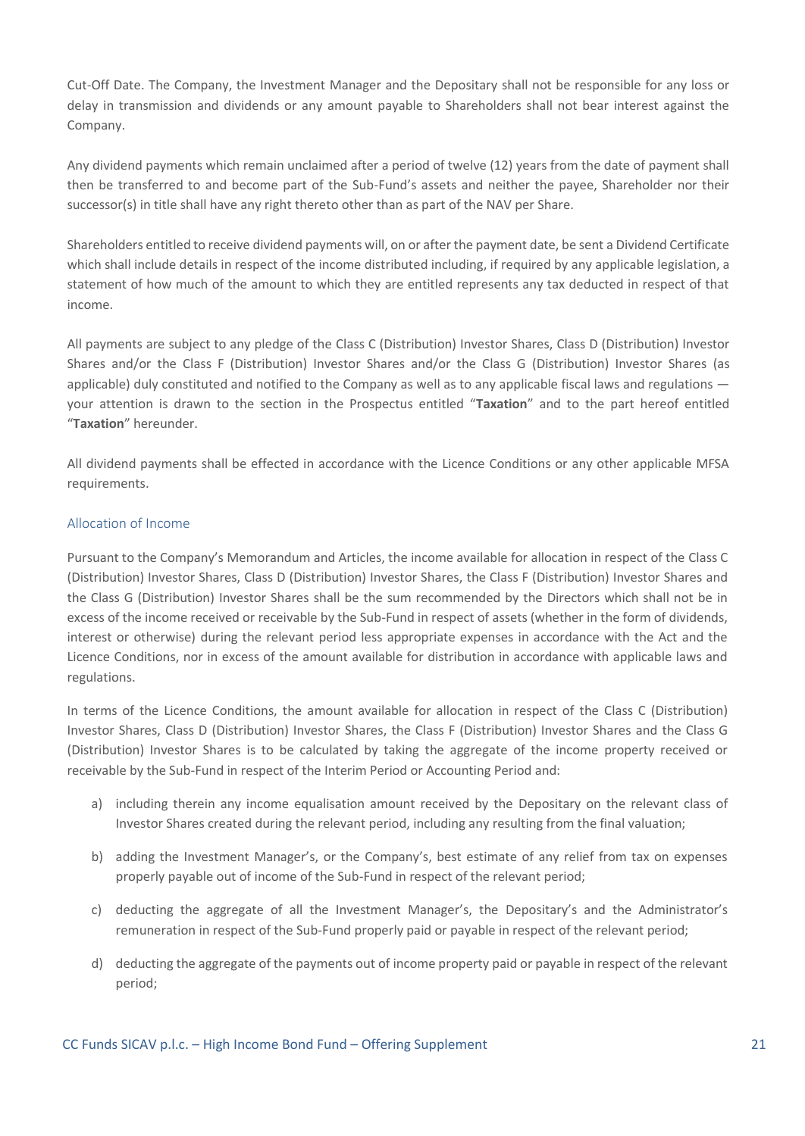Cut-Off Date. The Company, the Investment Manager and the Depositary shall not be responsible for any loss or delay in transmission and dividends or any amount payable to Shareholders shall not bear interest against the Company.

Any dividend payments which remain unclaimed after a period of twelve (12) years from the date of payment shall then be transferred to and become part of the Sub-Fund's assets and neither the payee, Shareholder nor their successor(s) in title shall have any right thereto other than as part of the NAV per Share.

Shareholders entitled to receive dividend payments will, on or after the payment date, be sent a Dividend Certificate which shall include details in respect of the income distributed including, if required by any applicable legislation, a statement of how much of the amount to which they are entitled represents any tax deducted in respect of that income.

All payments are subject to any pledge of the Class C (Distribution) Investor Shares, Class D (Distribution) Investor Shares and/or the Class F (Distribution) Investor Shares and/or the Class G (Distribution) Investor Shares (as applicable) duly constituted and notified to the Company as well as to any applicable fiscal laws and regulations your attention is drawn to the section in the Prospectus entitled "**Taxation**" and to the part hereof entitled "**Taxation**" hereunder.

All dividend payments shall be effected in accordance with the Licence Conditions or any other applicable MFSA requirements.

#### Allocation of Income

Pursuant to the Company's Memorandum and Articles, the income available for allocation in respect of the Class C (Distribution) Investor Shares, Class D (Distribution) Investor Shares, the Class F (Distribution) Investor Shares and the Class G (Distribution) Investor Shares shall be the sum recommended by the Directors which shall not be in excess of the income received or receivable by the Sub-Fund in respect of assets (whether in the form of dividends, interest or otherwise) during the relevant period less appropriate expenses in accordance with the Act and the Licence Conditions, nor in excess of the amount available for distribution in accordance with applicable laws and regulations.

In terms of the Licence Conditions, the amount available for allocation in respect of the Class C (Distribution) Investor Shares, Class D (Distribution) Investor Shares, the Class F (Distribution) Investor Shares and the Class G (Distribution) Investor Shares is to be calculated by taking the aggregate of the income property received or receivable by the Sub-Fund in respect of the Interim Period or Accounting Period and:

- a) including therein any income equalisation amount received by the Depositary on the relevant class of Investor Shares created during the relevant period, including any resulting from the final valuation;
- b) adding the Investment Manager's, or the Company's, best estimate of any relief from tax on expenses properly payable out of income of the Sub-Fund in respect of the relevant period;
- c) deducting the aggregate of all the Investment Manager's, the Depositary's and the Administrator's remuneration in respect of the Sub-Fund properly paid or payable in respect of the relevant period;
- d) deducting the aggregate of the payments out of income property paid or payable in respect of the relevant period;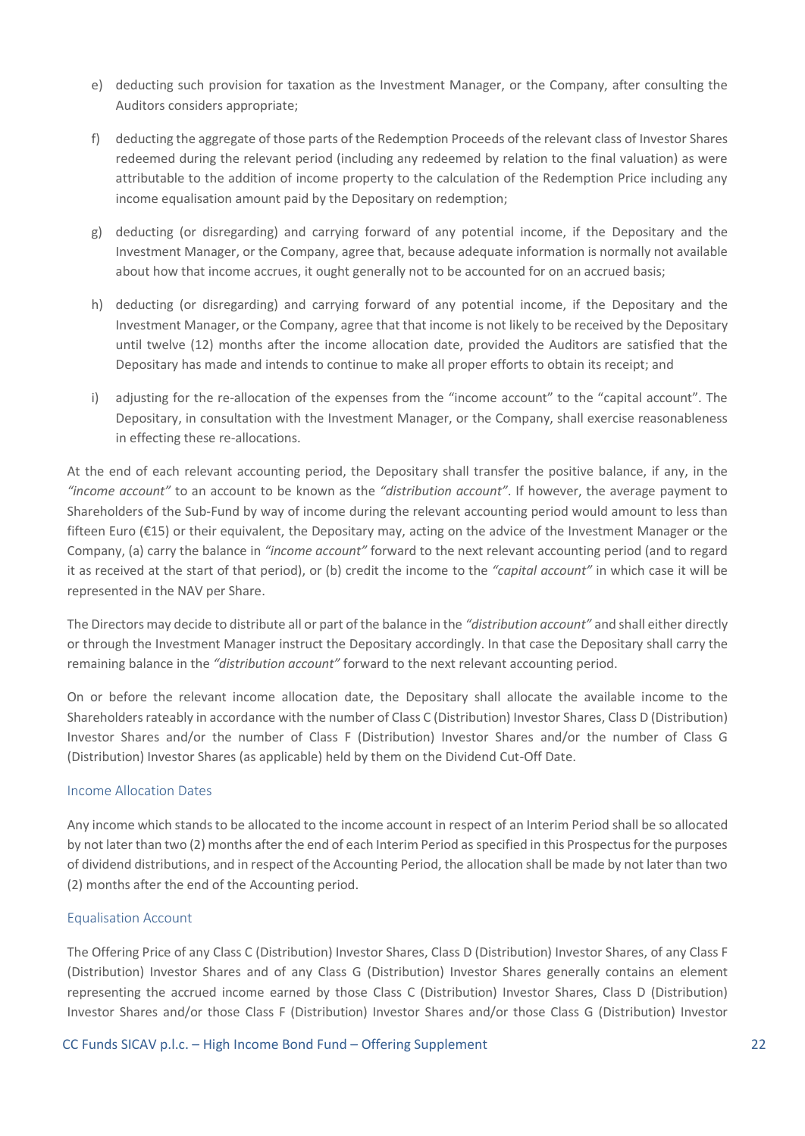- e) deducting such provision for taxation as the Investment Manager, or the Company, after consulting the Auditors considers appropriate;
- f) deducting the aggregate of those parts of the Redemption Proceeds of the relevant class of Investor Shares redeemed during the relevant period (including any redeemed by relation to the final valuation) as were attributable to the addition of income property to the calculation of the Redemption Price including any income equalisation amount paid by the Depositary on redemption;
- g) deducting (or disregarding) and carrying forward of any potential income, if the Depositary and the Investment Manager, or the Company, agree that, because adequate information is normally not available about how that income accrues, it ought generally not to be accounted for on an accrued basis;
- h) deducting (or disregarding) and carrying forward of any potential income, if the Depositary and the Investment Manager, or the Company, agree that that income is not likely to be received by the Depositary until twelve (12) months after the income allocation date, provided the Auditors are satisfied that the Depositary has made and intends to continue to make all proper efforts to obtain its receipt; and
- i) adjusting for the re-allocation of the expenses from the "income account" to the "capital account". The Depositary, in consultation with the Investment Manager, or the Company, shall exercise reasonableness in effecting these re-allocations.

At the end of each relevant accounting period, the Depositary shall transfer the positive balance, if any, in the *"income account"* to an account to be known as the *"distribution account"*. If however, the average payment to Shareholders of the Sub-Fund by way of income during the relevant accounting period would amount to less than fifteen Euro (€15) or their equivalent, the Depositary may, acting on the advice of the Investment Manager or the Company, (a) carry the balance in *"income account"* forward to the next relevant accounting period (and to regard it as received at the start of that period), or (b) credit the income to the *"capital account"* in which case it will be represented in the NAV per Share.

The Directors may decide to distribute all or part of the balance in the *"distribution account"* and shall either directly or through the Investment Manager instruct the Depositary accordingly. In that case the Depositary shall carry the remaining balance in the *"distribution account"* forward to the next relevant accounting period.

On or before the relevant income allocation date, the Depositary shall allocate the available income to the Shareholders rateably in accordance with the number of Class C (Distribution) Investor Shares, Class D (Distribution) Investor Shares and/or the number of Class F (Distribution) Investor Shares and/or the number of Class G (Distribution) Investor Shares (as applicable) held by them on the Dividend Cut-Off Date.

#### Income Allocation Dates

Any income which stands to be allocated to the income account in respect of an Interim Period shall be so allocated by not later than two (2) months after the end of each Interim Period as specified in this Prospectus for the purposes of dividend distributions, and in respect of the Accounting Period, the allocation shall be made by not later than two (2) months after the end of the Accounting period.

#### Equalisation Account

The Offering Price of any Class C (Distribution) Investor Shares, Class D (Distribution) Investor Shares, of any Class F (Distribution) Investor Shares and of any Class G (Distribution) Investor Shares generally contains an element representing the accrued income earned by those Class C (Distribution) Investor Shares, Class D (Distribution) Investor Shares and/or those Class F (Distribution) Investor Shares and/or those Class G (Distribution) Investor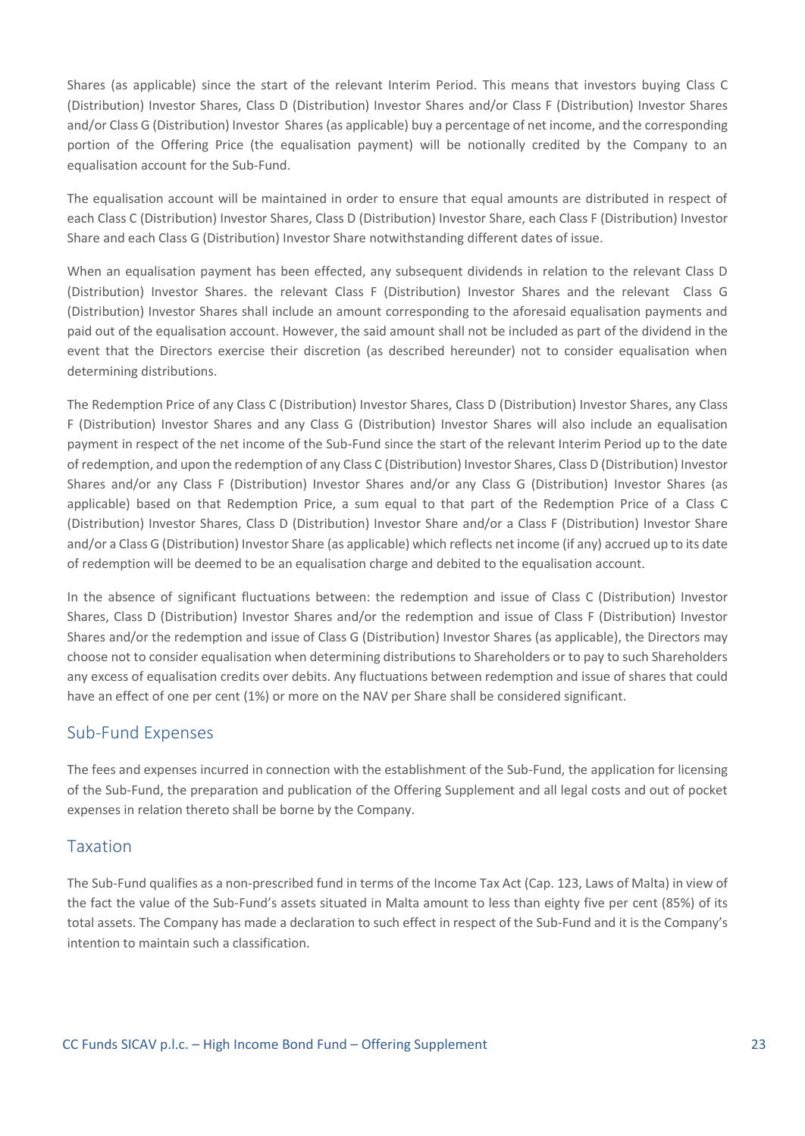Shares (as applicable) since the start of the relevant Interim Period. This means that investors buying Class C (Distribution) Investor Shares, Class D (Distribution) Investor Shares and/or Class F (Distribution) Investor Shares and/or Class G (Distribution) Investor Shares (as applicable) buy a percentage of net income, and the corresponding portion of the Offering Price (the equalisation payment) will be notionally credited by the Company to an equalisation account for the Sub-Fund.

The equalisation account will be maintained in order to ensure that equal amounts are distributed in respect of each Class C (Distribution) Investor Shares, Class D (Distribution) Investor Share, each Class F (Distribution) Investor Share and each Class G (Distribution) Investor Share notwithstanding different dates of issue.

When an equalisation payment has been effected, any subsequent dividends in relation to the relevant Class D (Distribution) Investor Shares. the relevant Class F (Distribution) Investor Shares and the relevant Class G (Distribution) Investor Shares shall include an amount corresponding to the aforesaid equalisation payments and paid out of the equalisation account. However, the said amount shall not be included as part of the dividend in the event that the Directors exercise their discretion (as described hereunder) not to consider equalisation when determining distributions.

The Redemption Price of any Class C (Distribution) Investor Shares, Class D (Distribution) Investor Shares, any Class F (Distribution) Investor Shares and any Class G (Distribution) Investor Shares will also include an equalisation payment in respect of the net income of the Sub-Fund since the start of the relevant Interim Period up to the date of redemption, and upon the redemption of any Class C (Distribution) Investor Shares, Class D (Distribution) Investor Shares and/or any Class F (Distribution) Investor Shares and/or any Class G (Distribution) Investor Shares (as applicable) based on that Redemption Price, a sum equal to that part of the Redemption Price of a Class C (Distribution) Investor Shares, Class D (Distribution) Investor Share and/or a Class F (Distribution) Investor Share and/or a Class G (Distribution) Investor Share (as applicable) which reflects net income (if any) accrued up to its date of redemption will be deemed to be an equalisation charge and debited to the equalisation account.

In the absence of significant fluctuations between: the redemption and issue of Class C (Distribution) Investor Shares, Class D (Distribution) Investor Shares and/or the redemption and issue of Class F (Distribution) Investor Shares and/or the redemption and issue of Class G (Distribution) Investor Shares (as applicable), the Directors may choose not to consider equalisation when determining distributions to Shareholders or to pay to such Shareholders any excess of equalisation credits over debits. Any fluctuations between redemption and issue of shares that could have an effect of one per cent (1%) or more on the NAV per Share shall be considered significant.

### Sub-Fund Expenses

The fees and expenses incurred in connection with the establishment of the Sub-Fund, the application for licensing of the Sub-Fund, the preparation and publication of the Offering Supplement and all legal costs and out of pocket expenses in relation thereto shall be borne by the Company.

### Taxation

The Sub-Fund qualifies as a non-prescribed fund in terms of the Income Tax Act (Cap. 123, Laws of Malta) in view of the fact the value of the Sub-Fund's assets situated in Malta amount to less than eighty five per cent (85%) of its total assets. The Company has made a declaration to such effect in respect of the Sub-Fund and it is the Company's intention to maintain such a classification.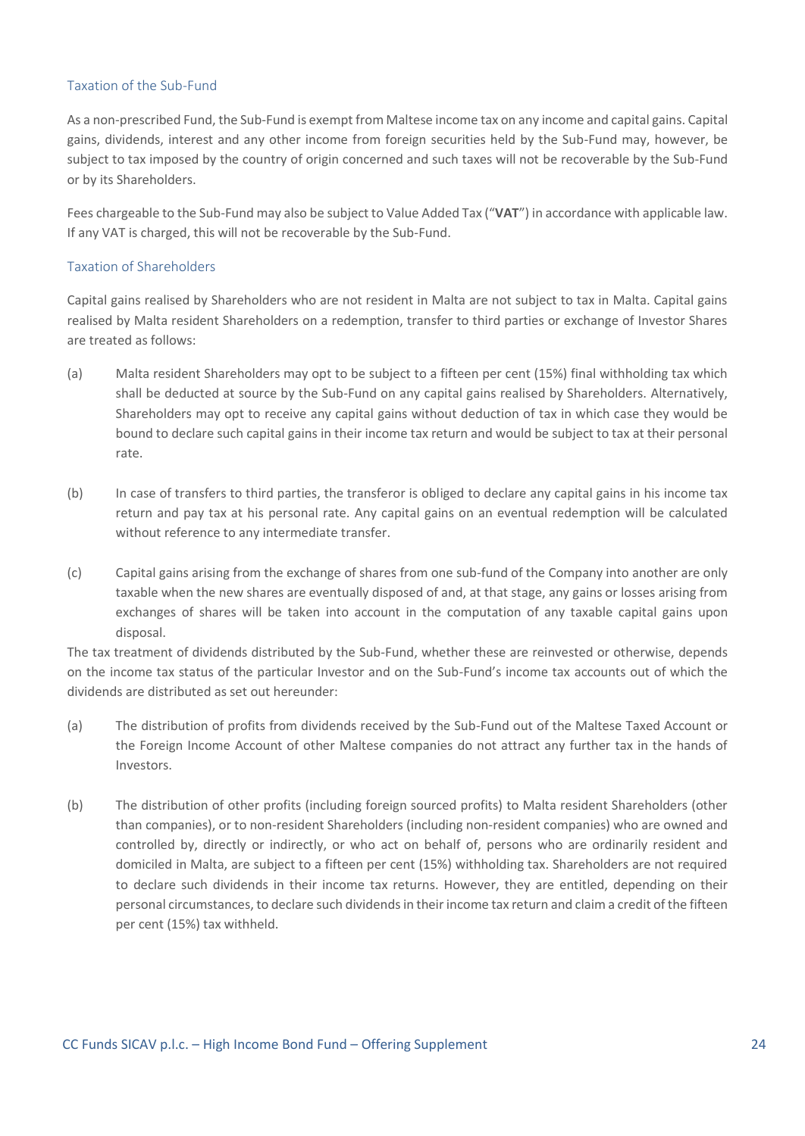#### Taxation of the Sub-Fund

As a non-prescribed Fund, the Sub-Fund is exempt from Maltese income tax on any income and capital gains. Capital gains, dividends, interest and any other income from foreign securities held by the Sub-Fund may, however, be subject to tax imposed by the country of origin concerned and such taxes will not be recoverable by the Sub-Fund or by its Shareholders.

Fees chargeable to the Sub-Fund may also be subject to Value Added Tax ("**VAT**") in accordance with applicable law. If any VAT is charged, this will not be recoverable by the Sub-Fund.

#### Taxation of Shareholders

Capital gains realised by Shareholders who are not resident in Malta are not subject to tax in Malta. Capital gains realised by Malta resident Shareholders on a redemption, transfer to third parties or exchange of Investor Shares are treated as follows:

- (a) Malta resident Shareholders may opt to be subject to a fifteen per cent (15%) final withholding tax which shall be deducted at source by the Sub-Fund on any capital gains realised by Shareholders. Alternatively, Shareholders may opt to receive any capital gains without deduction of tax in which case they would be bound to declare such capital gains in their income tax return and would be subject to tax at their personal rate.
- (b) In case of transfers to third parties, the transferor is obliged to declare any capital gains in his income tax return and pay tax at his personal rate. Any capital gains on an eventual redemption will be calculated without reference to any intermediate transfer.
- (c) Capital gains arising from the exchange of shares from one sub-fund of the Company into another are only taxable when the new shares are eventually disposed of and, at that stage, any gains or losses arising from exchanges of shares will be taken into account in the computation of any taxable capital gains upon disposal.

The tax treatment of dividends distributed by the Sub-Fund, whether these are reinvested or otherwise, depends on the income tax status of the particular Investor and on the Sub-Fund's income tax accounts out of which the dividends are distributed as set out hereunder:

- (a) The distribution of profits from dividends received by the Sub-Fund out of the Maltese Taxed Account or the Foreign Income Account of other Maltese companies do not attract any further tax in the hands of Investors.
- (b) The distribution of other profits (including foreign sourced profits) to Malta resident Shareholders (other than companies), or to non-resident Shareholders (including non-resident companies) who are owned and controlled by, directly or indirectly, or who act on behalf of, persons who are ordinarily resident and domiciled in Malta, are subject to a fifteen per cent (15%) withholding tax. Shareholders are not required to declare such dividends in their income tax returns. However, they are entitled, depending on their personal circumstances, to declare such dividends in their income tax return and claim a credit of the fifteen per cent (15%) tax withheld.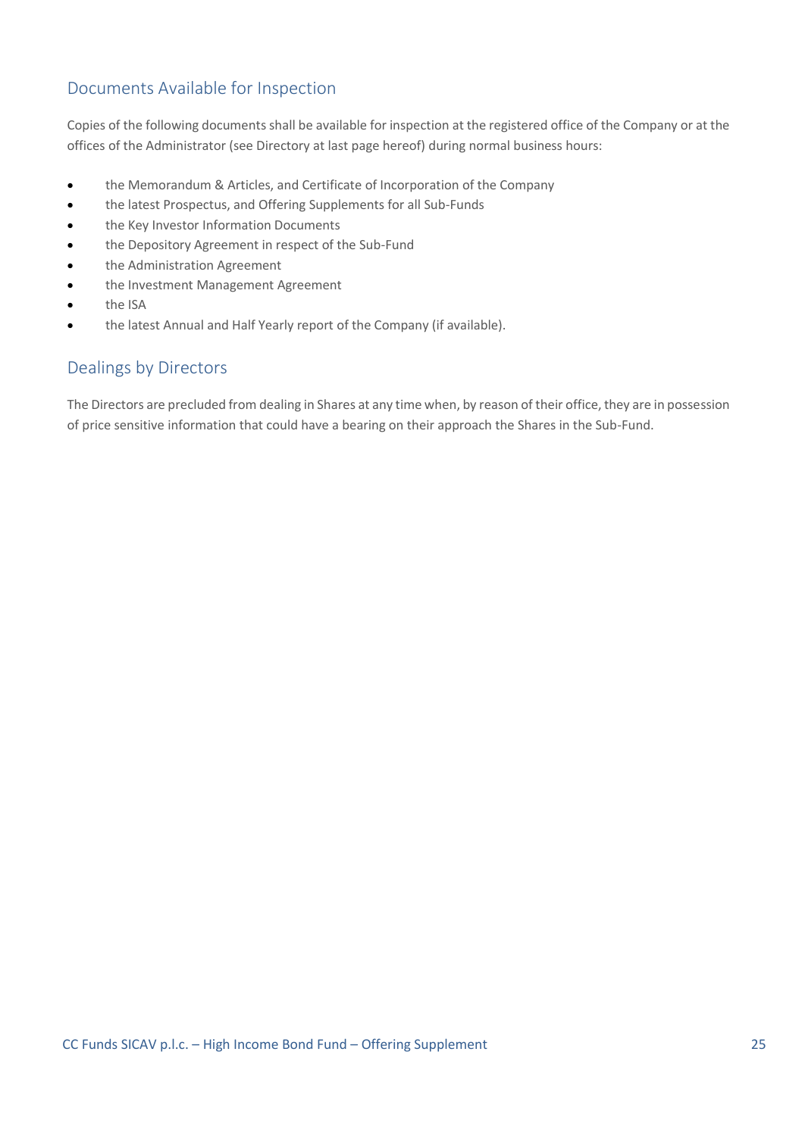## Documents Available for Inspection

Copies of the following documents shall be available for inspection at the registered office of the Company or at the offices of the Administrator (see Directory at last page hereof) during normal business hours:

- the Memorandum & Articles, and Certificate of Incorporation of the Company
- the latest Prospectus, and Offering Supplements for all Sub-Funds
- the Key Investor Information Documents
- the Depository Agreement in respect of the Sub-Fund
- the Administration Agreement
- the Investment Management Agreement
- the ISA
- the latest Annual and Half Yearly report of the Company (if available).

### Dealings by Directors

The Directors are precluded from dealing in Shares at any time when, by reason of their office, they are in possession of price sensitive information that could have a bearing on their approach the Shares in the Sub-Fund.